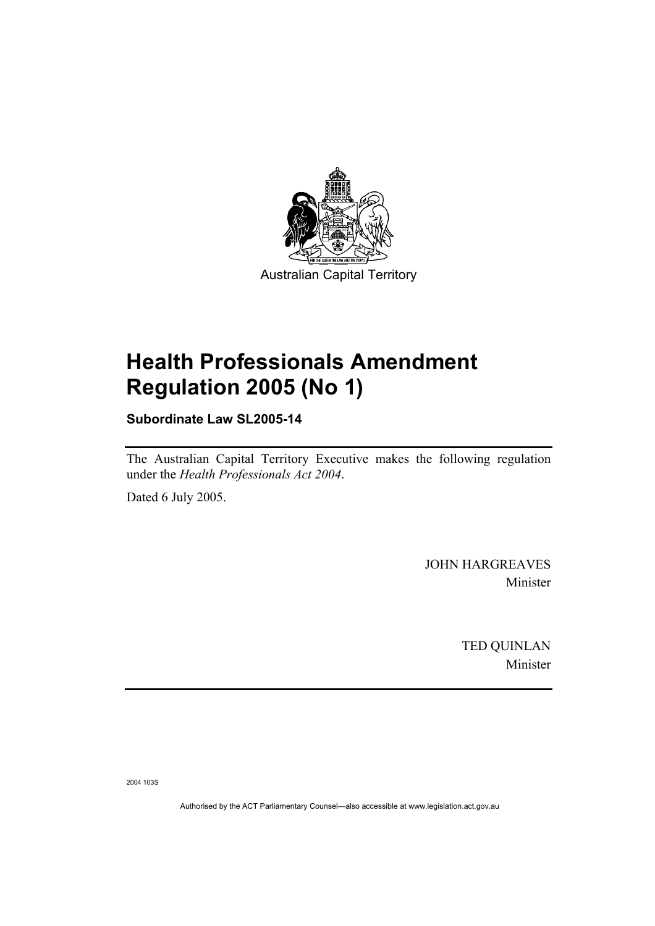

# **Health Professionals Amendment Regulation 2005 (No 1)**

**Subordinate Law SL2005-14** 

The Australian Capital Territory Executive makes the following regulation under the *Health Professionals Act 2004*.

Dated 6 July 2005.

JOHN HARGREAVES Minister

> TED QUINLAN Minister

2004 103S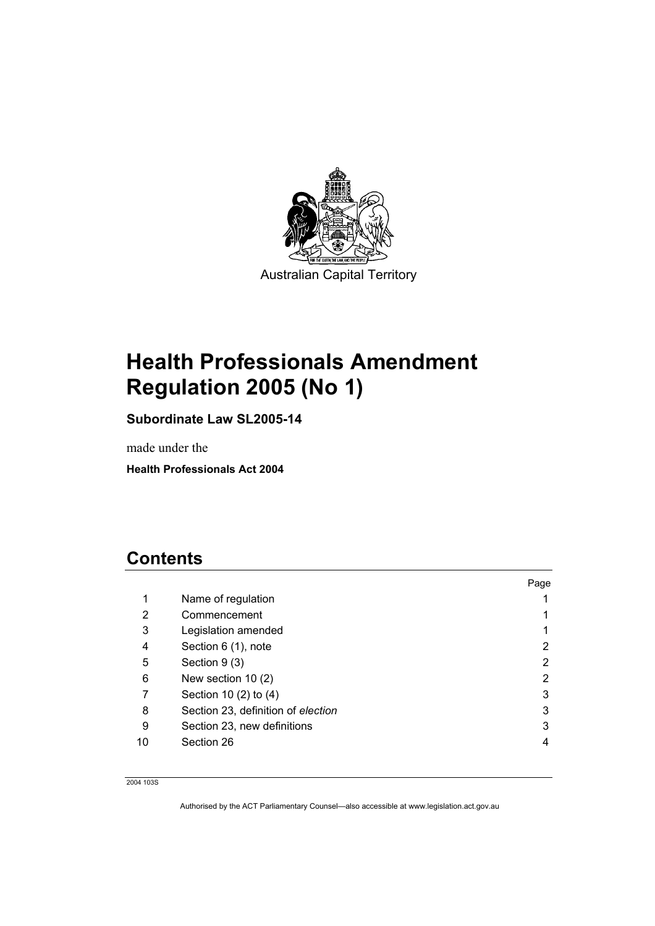

# **Health Professionals Amendment Regulation 2005 (No 1)**

**Subordinate Law SL2005-14** 

made under the

**Health Professionals Act 2004** 

## **Contents**

|    |                                    | Page |
|----|------------------------------------|------|
| 1  | Name of regulation                 |      |
| 2  | Commencement                       |      |
| 3  | Legislation amended                |      |
| 4  | Section 6 (1), note                | 2    |
| 5  | Section 9 (3)                      | 2    |
| 6  | New section $10(2)$                | 2    |
| 7  | Section 10 (2) to (4)              | 3    |
| 8  | Section 23, definition of election | 3    |
| 9  | Section 23, new definitions        | 3    |
| 10 | Section 26                         | 4    |

2004 103S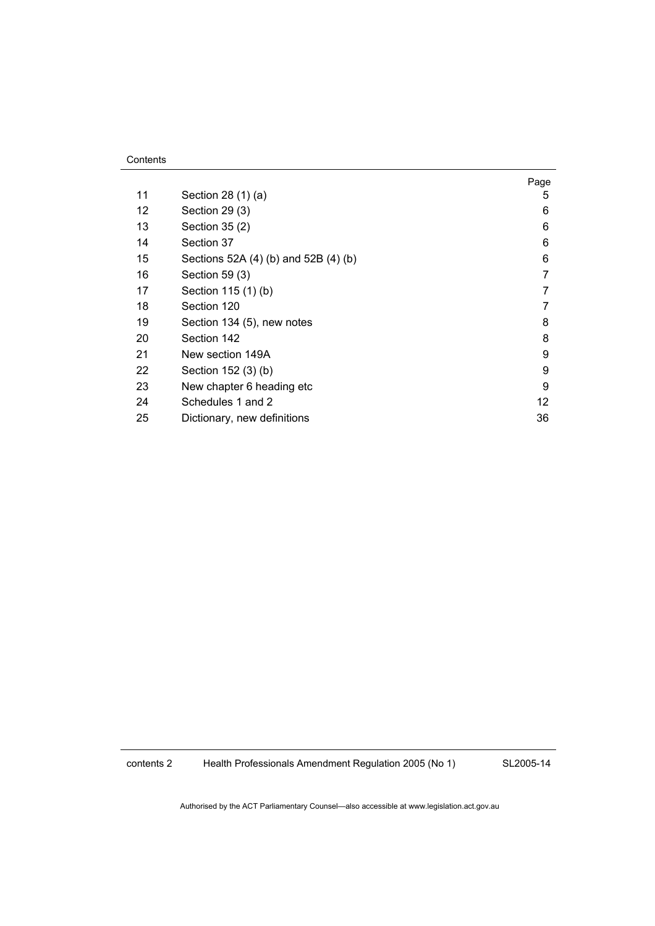| Contents |
|----------|
|----------|

|    |                                      | Page |
|----|--------------------------------------|------|
| 11 | Section 28 (1) (a)                   | 5    |
| 12 | Section 29 (3)                       | 6    |
| 13 | Section 35 (2)                       | 6    |
| 14 | Section 37                           | 6    |
| 15 | Sections 52A (4) (b) and 52B (4) (b) | 6    |
| 16 | Section 59 (3)                       | 7    |
| 17 | Section 115 (1) (b)                  | 7    |
| 18 | Section 120                          | 7    |
| 19 | Section 134 (5), new notes           | 8    |
| 20 | Section 142                          | 8    |
| 21 | New section 149A                     | 9    |
| 22 | Section 152 (3) (b)                  | 9    |
| 23 | New chapter 6 heading etc            | 9    |
| 24 | Schedules 1 and 2                    | 12   |
| 25 | Dictionary, new definitions          | 36   |

contents 2 Health Professionals Amendment Regulation 2005 (No 1)

SL2005-14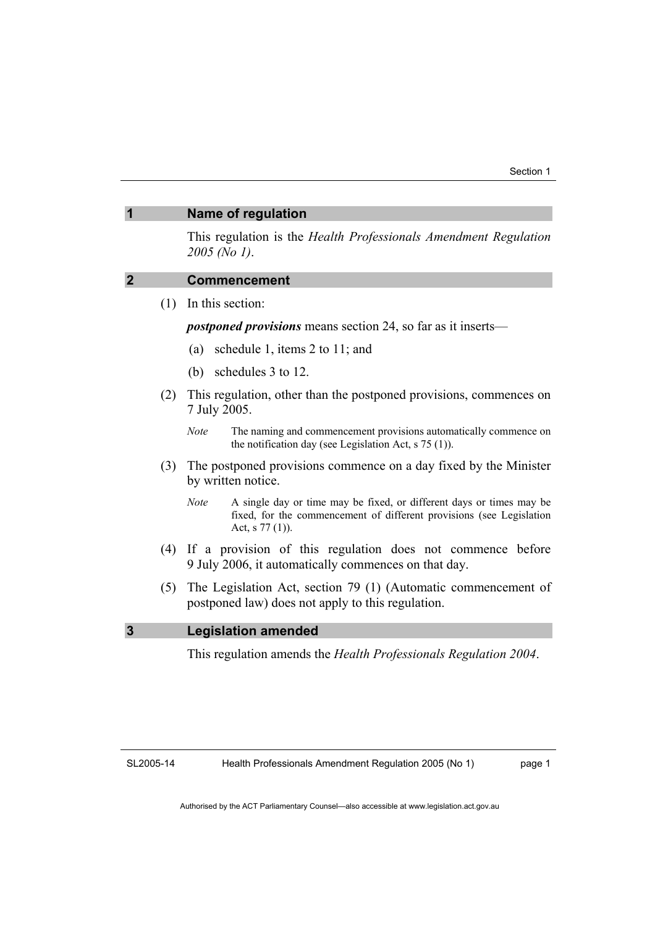#### **1 Name of regulation**

This regulation is the *Health Professionals Amendment Regulation 2005 (No 1)*.

## **2 Commencement**

(1) In this section:

*postponed provisions* means section 24, so far as it inserts—

- (a) schedule 1, items 2 to 11; and
- (b) schedules 3 to 12.
- (2) This regulation, other than the postponed provisions, commences on 7 July 2005.
	- *Note* The naming and commencement provisions automatically commence on the notification day (see Legislation Act, s 75 (1)).
- (3) The postponed provisions commence on a day fixed by the Minister by written notice.
	- *Note* A single day or time may be fixed, or different days or times may be fixed, for the commencement of different provisions (see Legislation Act, s 77 (1)).
- (4) If a provision of this regulation does not commence before 9 July 2006, it automatically commences on that day.
- (5) The Legislation Act, section 79 (1) (Automatic commencement of postponed law) does not apply to this regulation.

#### **3 Legislation amended**

This regulation amends the *Health Professionals Regulation 2004*.

SL2005-14

page 1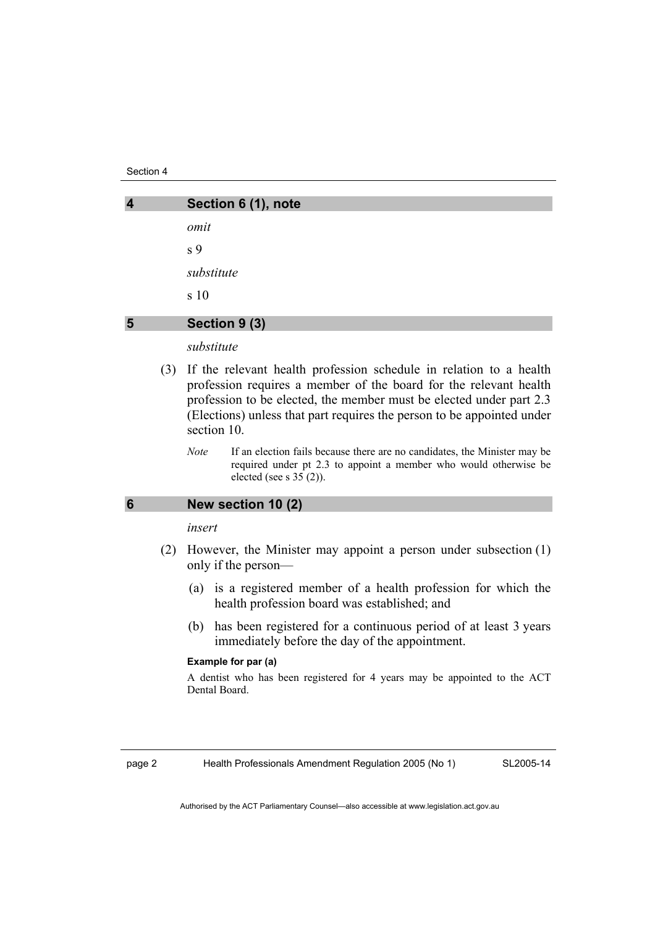Section 4

| $\overline{\mathbf{4}}$ | Section 6 (1), note |
|-------------------------|---------------------|
|                         | omit                |
|                         | s <sub>9</sub>      |
|                         | substitute          |
|                         | s 10                |
| 5                       | Section 9 (3)       |

### *substitute*

- (3) If the relevant health profession schedule in relation to a health profession requires a member of the board for the relevant health profession to be elected, the member must be elected under part 2.3 (Elections) unless that part requires the person to be appointed under section 10.
	- *Note* If an election fails because there are no candidates, the Minister may be required under pt 2.3 to appoint a member who would otherwise be elected (see s 35 (2)).

### **6 New section 10 (2)**

#### *insert*

- (2) However, the Minister may appoint a person under subsection (1) only if the person—
	- (a) is a registered member of a health profession for which the health profession board was established; and
	- (b) has been registered for a continuous period of at least 3 years immediately before the day of the appointment.

#### **Example for par (a)**

A dentist who has been registered for 4 years may be appointed to the ACT Dental Board.

page 2 Health Professionals Amendment Regulation 2005 (No 1)

SL2005-14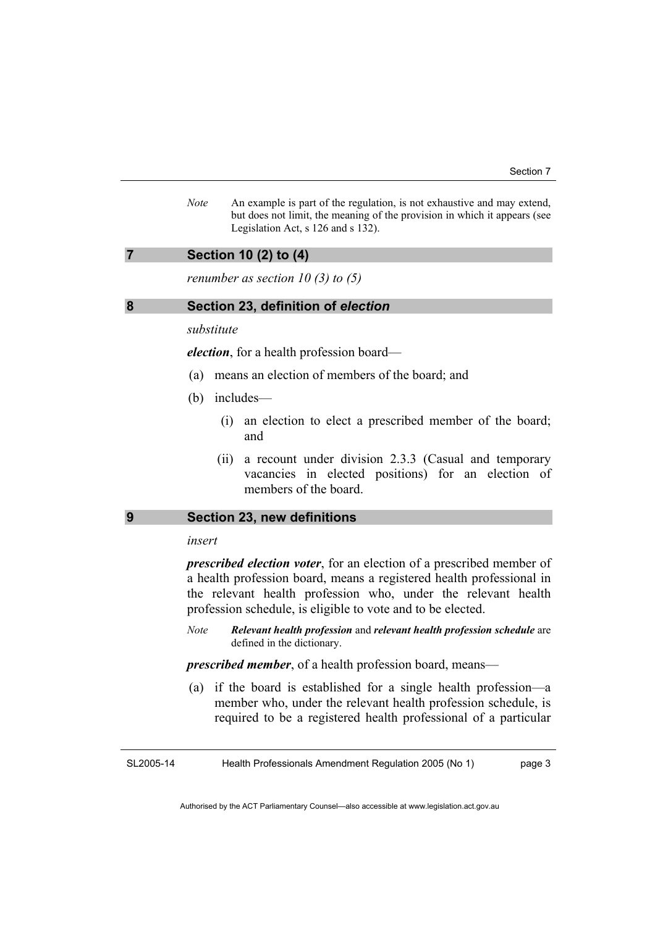*Note* An example is part of the regulation, is not exhaustive and may extend, but does not limit, the meaning of the provision in which it appears (see Legislation Act, s 126 and s 132).

#### **7 Section 10 (2) to (4)**

*renumber as section 10 (3) to (5)* 

#### **8 Section 23, definition of** *election*

### *substitute*

*election*, for a health profession board—

- (a) means an election of members of the board; and
- (b) includes—
	- (i) an election to elect a prescribed member of the board; and
	- (ii) a recount under division 2.3.3 (Casual and temporary vacancies in elected positions) for an election of members of the board.

### **9 Section 23, new definitions**

#### *insert*

*prescribed election voter*, for an election of a prescribed member of a health profession board, means a registered health professional in the relevant health profession who, under the relevant health profession schedule, is eligible to vote and to be elected.

*Note Relevant health profession* and *relevant health profession schedule* are defined in the dictionary.

*prescribed member*, of a health profession board, means—

 (a) if the board is established for a single health profession—a member who, under the relevant health profession schedule, is required to be a registered health professional of a particular

SL2005-14 Health Professionals Amendment Regulation 2005 (No 1) page 3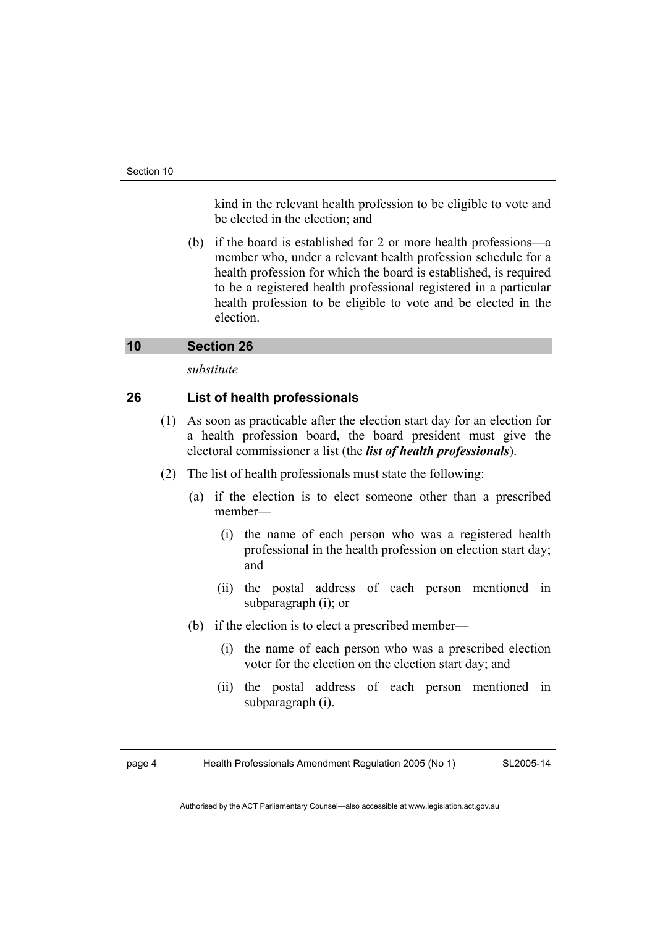kind in the relevant health profession to be eligible to vote and be elected in the election; and

 (b) if the board is established for 2 or more health professions—a member who, under a relevant health profession schedule for a health profession for which the board is established, is required to be a registered health professional registered in a particular health profession to be eligible to vote and be elected in the election.

### **10 Section 26**

*substitute* 

## **26 List of health professionals**

- (1) As soon as practicable after the election start day for an election for a health profession board, the board president must give the electoral commissioner a list (the *list of health professionals*).
- (2) The list of health professionals must state the following:
	- (a) if the election is to elect someone other than a prescribed member—
		- (i) the name of each person who was a registered health professional in the health profession on election start day; and
		- (ii) the postal address of each person mentioned in subparagraph (i); or
	- (b) if the election is to elect a prescribed member—
		- (i) the name of each person who was a prescribed election voter for the election on the election start day; and
		- (ii) the postal address of each person mentioned in subparagraph (i).

page 4 Health Professionals Amendment Regulation 2005 (No 1)

SL2005-14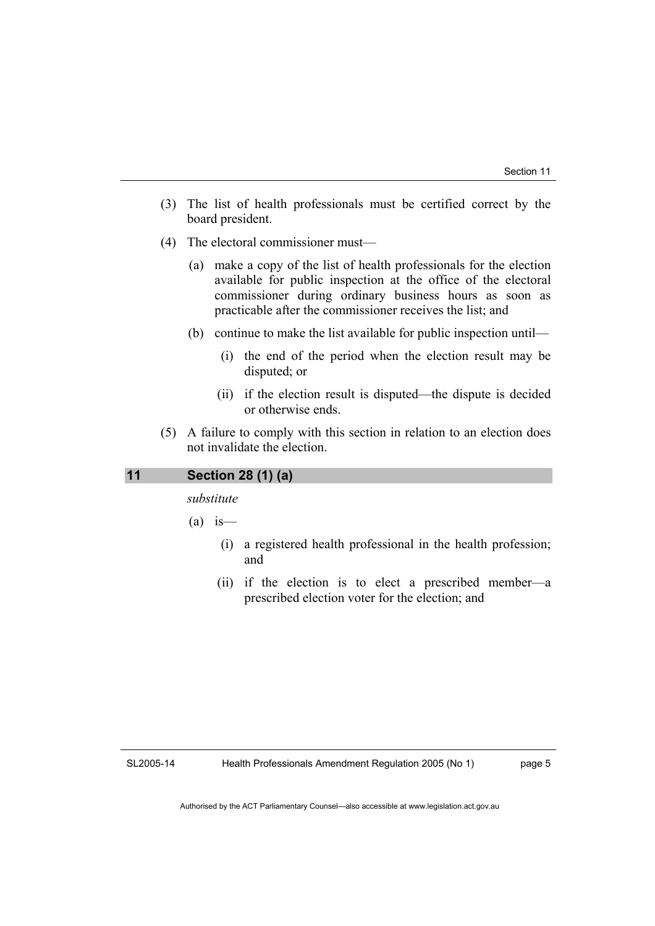- (3) The list of health professionals must be certified correct by the board president.
- (4) The electoral commissioner must—
	- (a) make a copy of the list of health professionals for the election available for public inspection at the office of the electoral commissioner during ordinary business hours as soon as practicable after the commissioner receives the list; and
	- (b) continue to make the list available for public inspection until—
		- (i) the end of the period when the election result may be disputed; or
		- (ii) if the election result is disputed—the dispute is decided or otherwise ends.
- (5) A failure to comply with this section in relation to an election does not invalidate the election.

## **11 Section 28 (1) (a)**

*substitute* 

 $(a)$  is —

- (i) a registered health professional in the health profession; and
- (ii) if the election is to elect a prescribed member—a prescribed election voter for the election; and

SL2005-14

Health Professionals Amendment Regulation 2005 (No 1)

page 5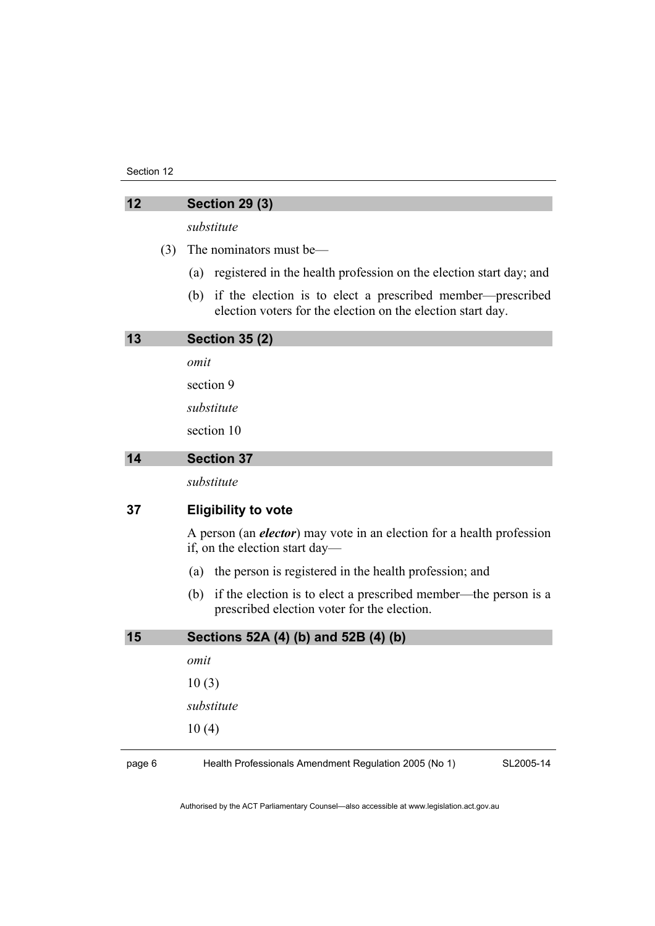#### Section 12

| 12 |     | <b>Section 29 (3)</b>                                                                                                            |  |  |
|----|-----|----------------------------------------------------------------------------------------------------------------------------------|--|--|
|    |     | substitute                                                                                                                       |  |  |
|    | (3) | The nominators must be—                                                                                                          |  |  |
|    |     | registered in the health profession on the election start day; and<br>(a)                                                        |  |  |
|    |     | if the election is to elect a prescribed member—prescribed<br>(b)<br>election voters for the election on the election start day. |  |  |
| 13 |     | <b>Section 35 (2)</b>                                                                                                            |  |  |
|    |     | omit                                                                                                                             |  |  |
|    |     | section 9                                                                                                                        |  |  |
|    |     | substitute                                                                                                                       |  |  |
|    |     | section 10                                                                                                                       |  |  |
| 14 |     | <b>Section 37</b>                                                                                                                |  |  |
|    |     | substitute                                                                                                                       |  |  |
| 37 |     | <b>Eligibility to vote</b>                                                                                                       |  |  |
|    |     | A person (an <i>elector</i> ) may vote in an election for a health profession<br>if, on the election start day—                  |  |  |
|    |     | (a) the person is registered in the health profession; and                                                                       |  |  |
|    |     | if the election is to elect a prescribed member—the person is a<br>(b)<br>prescribed election voter for the election.            |  |  |
| 15 |     | Sections 52A (4) (b) and 52B (4) (b)                                                                                             |  |  |
|    |     | omit                                                                                                                             |  |  |
|    |     | 10(3)                                                                                                                            |  |  |
|    |     | substitute                                                                                                                       |  |  |
|    |     | 10(4)                                                                                                                            |  |  |

page 6 Health Professionals Amendment Regulation 2005 (No 1)

SL2005-14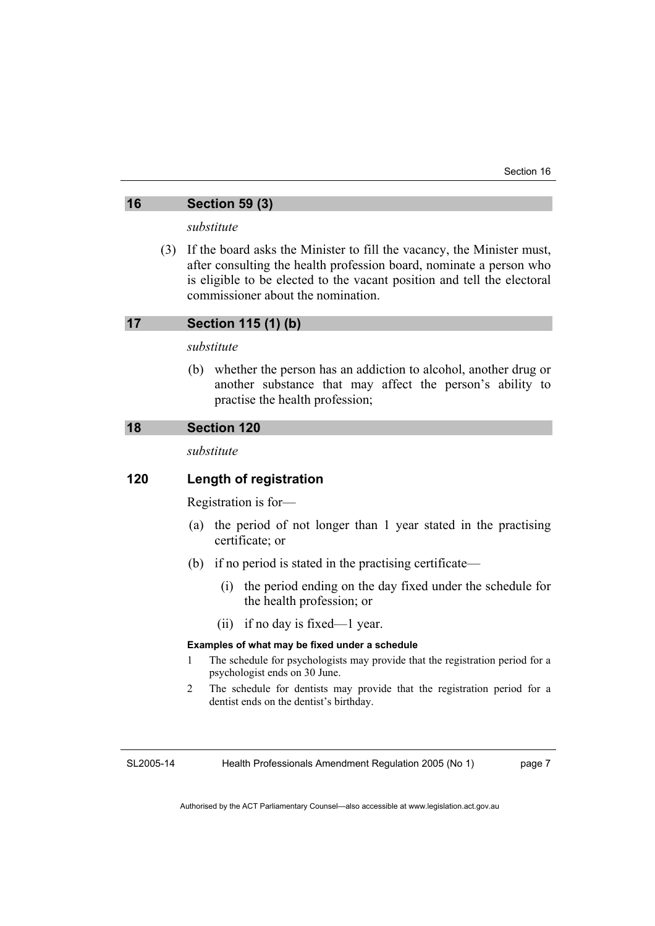### **16 Section 59 (3)**

*substitute* 

 (3) If the board asks the Minister to fill the vacancy, the Minister must, after consulting the health profession board, nominate a person who is eligible to be elected to the vacant position and tell the electoral commissioner about the nomination.

### **17 Section 115 (1) (b)**

#### *substitute*

 (b) whether the person has an addiction to alcohol, another drug or another substance that may affect the person's ability to practise the health profession;

## **18 Section 120**

*substitute* 

### **120 Length of registration**

Registration is for—

- (a) the period of not longer than 1 year stated in the practising certificate; or
- (b) if no period is stated in the practising certificate—
	- (i) the period ending on the day fixed under the schedule for the health profession; or
	- (ii) if no day is fixed—1 year.

#### **Examples of what may be fixed under a schedule**

- 1 The schedule for psychologists may provide that the registration period for a psychologist ends on 30 June.
- 2 The schedule for dentists may provide that the registration period for a dentist ends on the dentist's birthday.

SL2005-14

Health Professionals Amendment Regulation 2005 (No 1)

page 7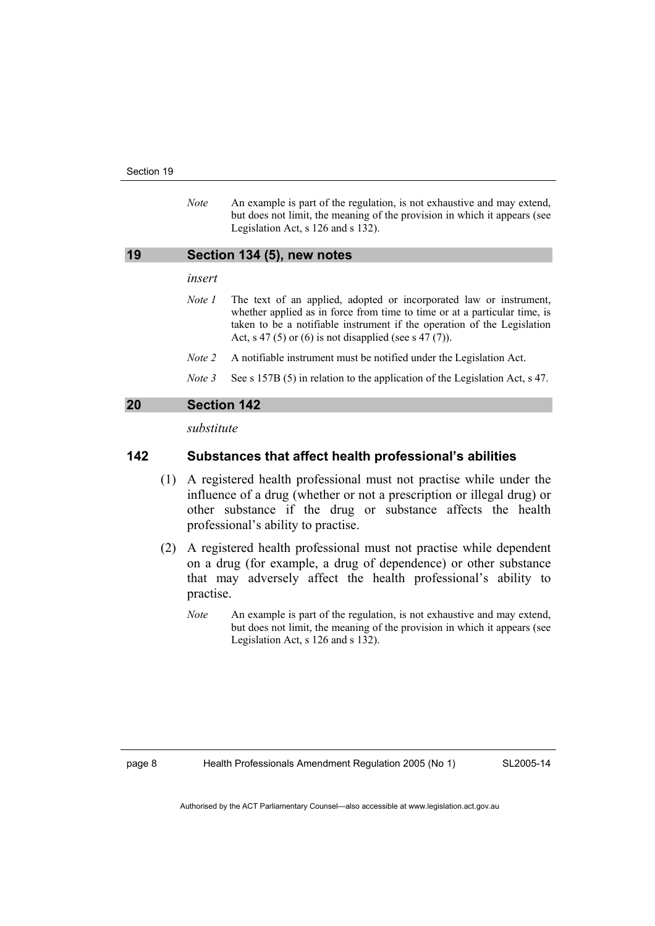*Note* An example is part of the regulation, is not exhaustive and may extend, but does not limit, the meaning of the provision in which it appears (see Legislation Act, s 126 and s 132).

#### **19 Section 134 (5), new notes**

#### *insert*

- *Note 1* The text of an applied, adopted or incorporated law or instrument, whether applied as in force from time to time or at a particular time, is taken to be a notifiable instrument if the operation of the Legislation Act, s 47 (5) or (6) is not disapplied (see s 47 (7)).
- *Note 2* A notifiable instrument must be notified under the Legislation Act.
- *Note 3* See s 157B (5) in relation to the application of the Legislation Act, s 47.

### **20 Section 142**

*substitute* 

#### **142 Substances that affect health professional's abilities**

- (1) A registered health professional must not practise while under the influence of a drug (whether or not a prescription or illegal drug) or other substance if the drug or substance affects the health professional's ability to practise.
- (2) A registered health professional must not practise while dependent on a drug (for example, a drug of dependence) or other substance that may adversely affect the health professional's ability to practise.
	- *Note* An example is part of the regulation, is not exhaustive and may extend, but does not limit, the meaning of the provision in which it appears (see Legislation Act, s 126 and s 132).

page 8 Health Professionals Amendment Regulation 2005 (No 1)

SL2005-14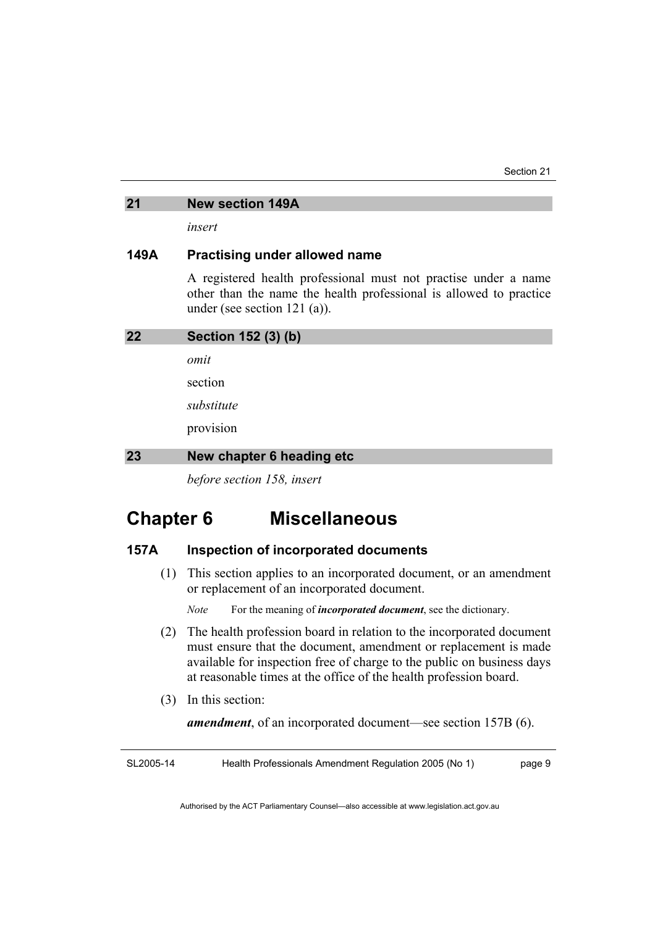### **21 New section 149A**

*insert* 

## **149A Practising under allowed name**

A registered health professional must not practise under a name other than the name the health professional is allowed to practice under (see section 121 (a)).

| 22 | Section 152 (3) (b)       |
|----|---------------------------|
|    | omit                      |
|    | section                   |
|    | substitute                |
|    | provision                 |
| 23 | New chapter 6 heading etc |

*before section 158, insert* 

## **Chapter 6 Miscellaneous**

## **157A Inspection of incorporated documents**

 (1) This section applies to an incorporated document, or an amendment or replacement of an incorporated document.

*Note* For the meaning of *incorporated document*, see the dictionary.

- (2) The health profession board in relation to the incorporated document must ensure that the document, amendment or replacement is made available for inspection free of charge to the public on business days at reasonable times at the office of the health profession board.
- (3) In this section:

*amendment*, of an incorporated document—see section 157B (6).

SL2005-14 Health Professionals Amendment Regulation 2005 (No 1) page 9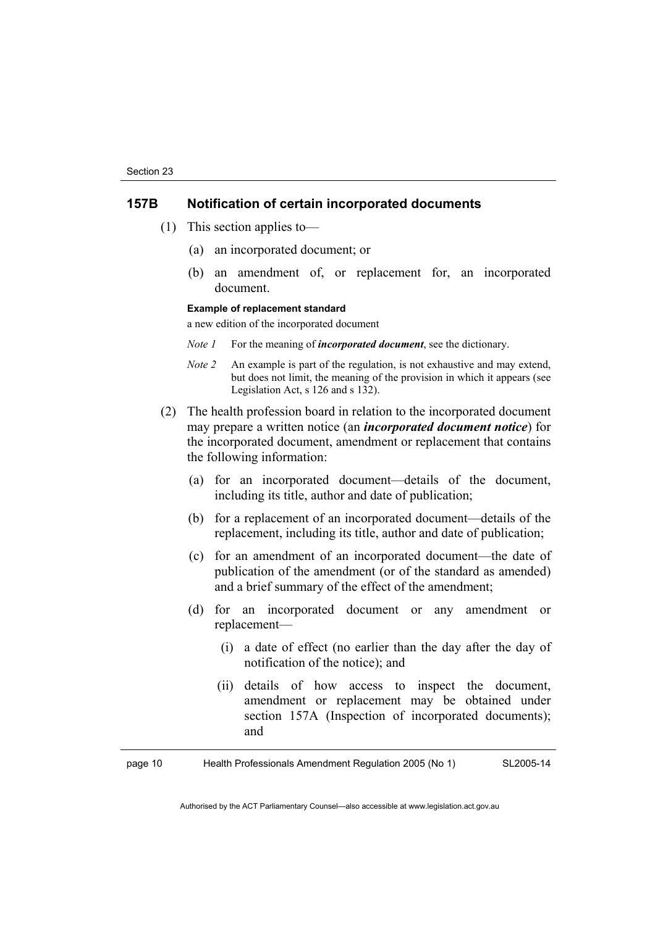## **157B Notification of certain incorporated documents**

- (1) This section applies to—
	- (a) an incorporated document; or
	- (b) an amendment of, or replacement for, an incorporated document.

#### **Example of replacement standard**

a new edition of the incorporated document

- *Note 1* For the meaning of *incorporated document*, see the dictionary.
- *Note 2* An example is part of the regulation, is not exhaustive and may extend, but does not limit, the meaning of the provision in which it appears (see Legislation Act, s 126 and s 132).
- (2) The health profession board in relation to the incorporated document may prepare a written notice (an *incorporated document notice*) for the incorporated document, amendment or replacement that contains the following information:
	- (a) for an incorporated document—details of the document, including its title, author and date of publication;
	- (b) for a replacement of an incorporated document—details of the replacement, including its title, author and date of publication;
	- (c) for an amendment of an incorporated document—the date of publication of the amendment (or of the standard as amended) and a brief summary of the effect of the amendment;
	- (d) for an incorporated document or any amendment or replacement—
		- (i) a date of effect (no earlier than the day after the day of notification of the notice); and
		- (ii) details of how access to inspect the document, amendment or replacement may be obtained under section 157A (Inspection of incorporated documents); and

page 10 Health Professionals Amendment Regulation 2005 (No 1) SL2005-14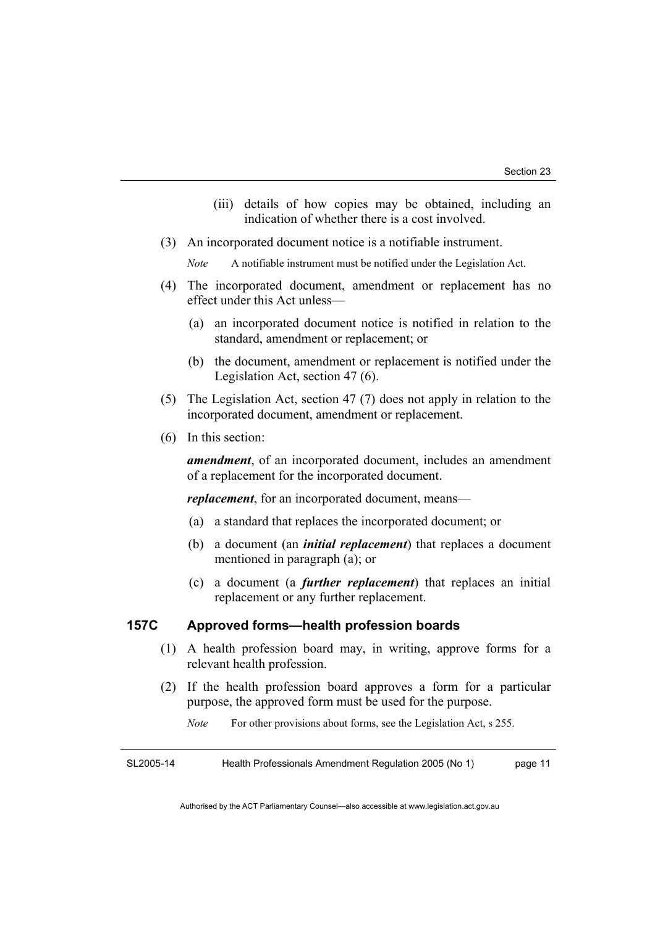- (iii) details of how copies may be obtained, including an indication of whether there is a cost involved.
- (3) An incorporated document notice is a notifiable instrument.

*Note* A notifiable instrument must be notified under the Legislation Act.

- (4) The incorporated document, amendment or replacement has no effect under this Act unless—
	- (a) an incorporated document notice is notified in relation to the standard, amendment or replacement; or
	- (b) the document, amendment or replacement is notified under the Legislation Act, section 47 (6).
- (5) The Legislation Act, section 47 (7) does not apply in relation to the incorporated document, amendment or replacement.
- (6) In this section:

*amendment*, of an incorporated document, includes an amendment of a replacement for the incorporated document.

*replacement*, for an incorporated document, means—

- (a) a standard that replaces the incorporated document; or
- (b) a document (an *initial replacement*) that replaces a document mentioned in paragraph (a); or
- (c) a document (a *further replacement*) that replaces an initial replacement or any further replacement.

## **157C Approved forms—health profession boards**

- (1) A health profession board may, in writing, approve forms for a relevant health profession.
- (2) If the health profession board approves a form for a particular purpose, the approved form must be used for the purpose.
	- *Note* For other provisions about forms, see the Legislation Act, s 255.

SL2005-14 Health Professionals Amendment Regulation 2005 (No 1) page 11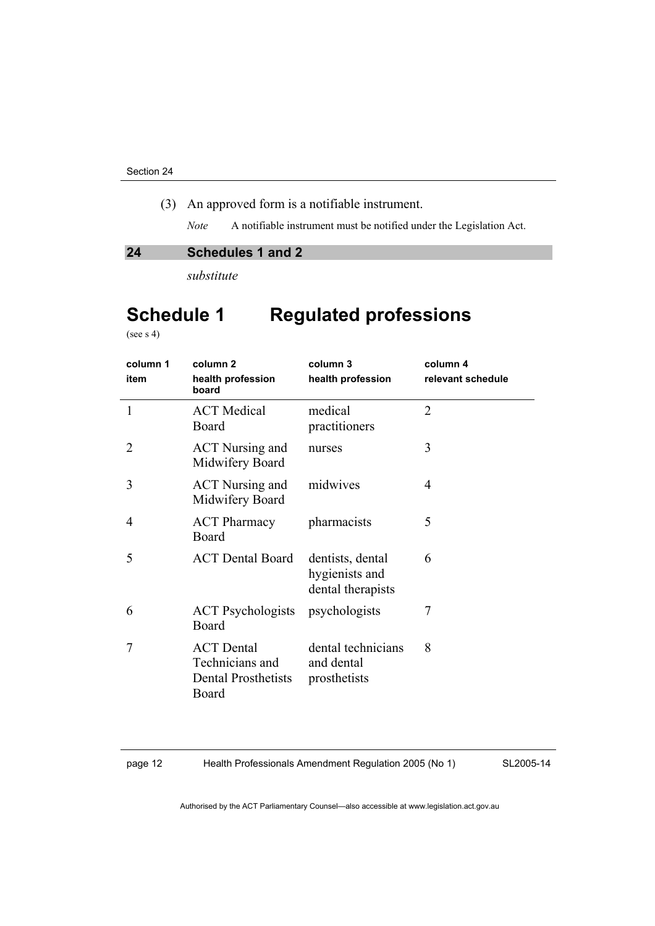(3) An approved form is a notifiable instrument.

*Note* A notifiable instrument must be notified under the Legislation Act.

### **24 Schedules 1 and 2**

*substitute* 

## **Schedule 1 Regulated professions**

(see s 4)

| column 1<br>item | column <sub>2</sub><br>health profession<br>board                           | column 3<br>health profession                           | column 4<br>relevant schedule |
|------------------|-----------------------------------------------------------------------------|---------------------------------------------------------|-------------------------------|
| 1                | <b>ACT</b> Medical<br>Board                                                 | medical<br>practitioners                                | $\overline{2}$                |
| 2                | <b>ACT</b> Nursing and<br>Midwifery Board                                   | nurses                                                  | 3                             |
| 3                | <b>ACT</b> Nursing and<br>Midwifery Board                                   | midwives                                                | 4                             |
| 4                | <b>ACT Pharmacy</b><br>Board                                                | pharmacists                                             | 5                             |
| 5                | <b>ACT Dental Board</b>                                                     | dentists, dental<br>hygienists and<br>dental therapists | 6                             |
| 6                | <b>ACT</b> Psychologists<br>Board                                           | psychologists                                           | 7                             |
| 7                | <b>ACT</b> Dental<br>Technicians and<br><b>Dental Prosthetists</b><br>Board | dental technicians<br>and dental<br>prosthetists        | 8                             |

page 12 Health Professionals Amendment Regulation 2005 (No 1)

SL2005-14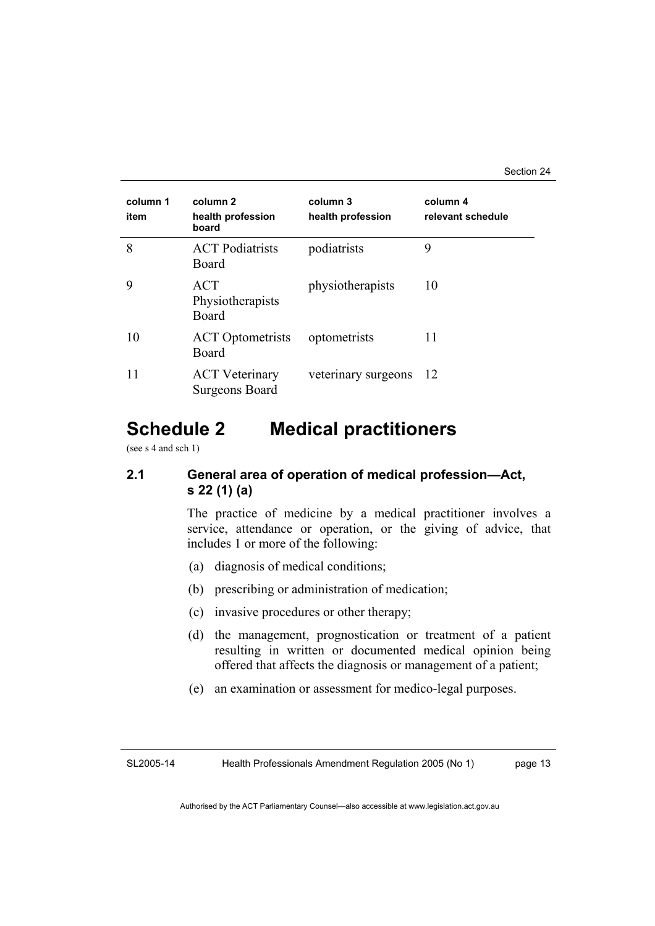| column 1<br>item | column 2<br>health profession<br>board         | column 3<br>health profession | column 4<br>relevant schedule |
|------------------|------------------------------------------------|-------------------------------|-------------------------------|
| 8                | <b>ACT</b> Podiatrists<br>Board                | podiatrists                   | 9                             |
| 9                | ACT<br>Physiotherapists<br>Board               | physiotherapists              | 10                            |
| 10               | <b>ACT</b> Optometrists<br>Board               | optometrists                  | 11                            |
| 11               | <b>ACT</b> Veterinary<br><b>Surgeons Board</b> | veterinary surgeons           | -12                           |

## **Schedule 2 Medical practitioners**

(see s 4 and sch 1)

## **2.1 General area of operation of medical profession—Act, s 22 (1) (a)**

The practice of medicine by a medical practitioner involves a service, attendance or operation, or the giving of advice, that includes 1 or more of the following:

- (a) diagnosis of medical conditions;
- (b) prescribing or administration of medication;
- (c) invasive procedures or other therapy;
- (d) the management, prognostication or treatment of a patient resulting in written or documented medical opinion being offered that affects the diagnosis or management of a patient;
- (e) an examination or assessment for medico-legal purposes.

SL2005-14 Health Professionals Amendment Regulation 2005 (No 1) page 13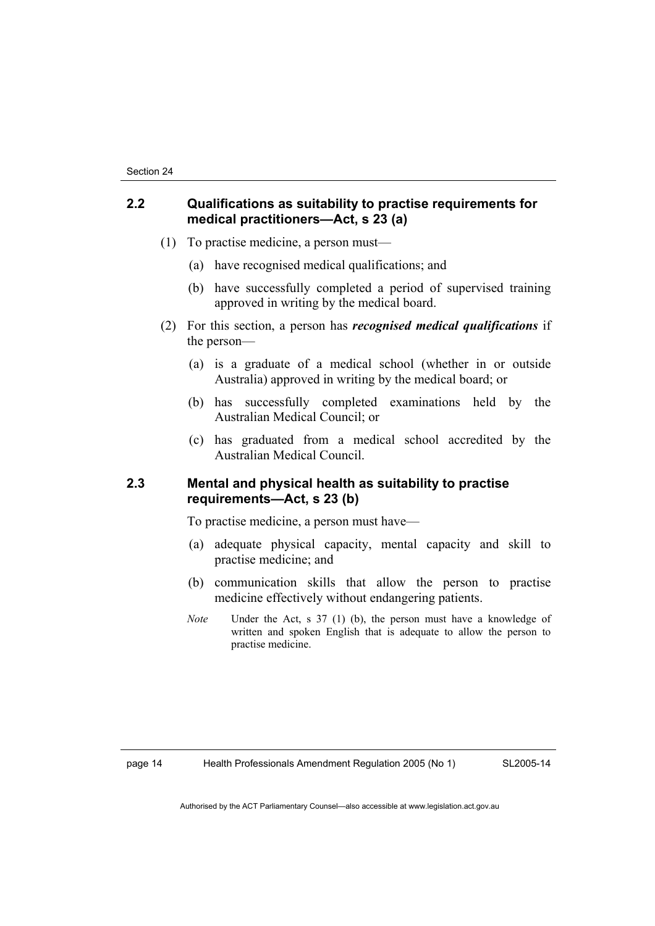## **2.2 Qualifications as suitability to practise requirements for medical practitioners—Act, s 23 (a)**

- (1) To practise medicine, a person must—
	- (a) have recognised medical qualifications; and
	- (b) have successfully completed a period of supervised training approved in writing by the medical board.
- (2) For this section, a person has *recognised medical qualifications* if the person—
	- (a) is a graduate of a medical school (whether in or outside Australia) approved in writing by the medical board; or
	- (b) has successfully completed examinations held by the Australian Medical Council; or
	- (c) has graduated from a medical school accredited by the Australian Medical Council.

## **2.3 Mental and physical health as suitability to practise requirements—Act, s 23 (b)**

To practise medicine, a person must have—

- (a) adequate physical capacity, mental capacity and skill to practise medicine; and
- (b) communication skills that allow the person to practise medicine effectively without endangering patients.
- *Note* Under the Act, s 37 (1) (b), the person must have a knowledge of written and spoken English that is adequate to allow the person to practise medicine.

page 14 Health Professionals Amendment Regulation 2005 (No 1)

SL2005-14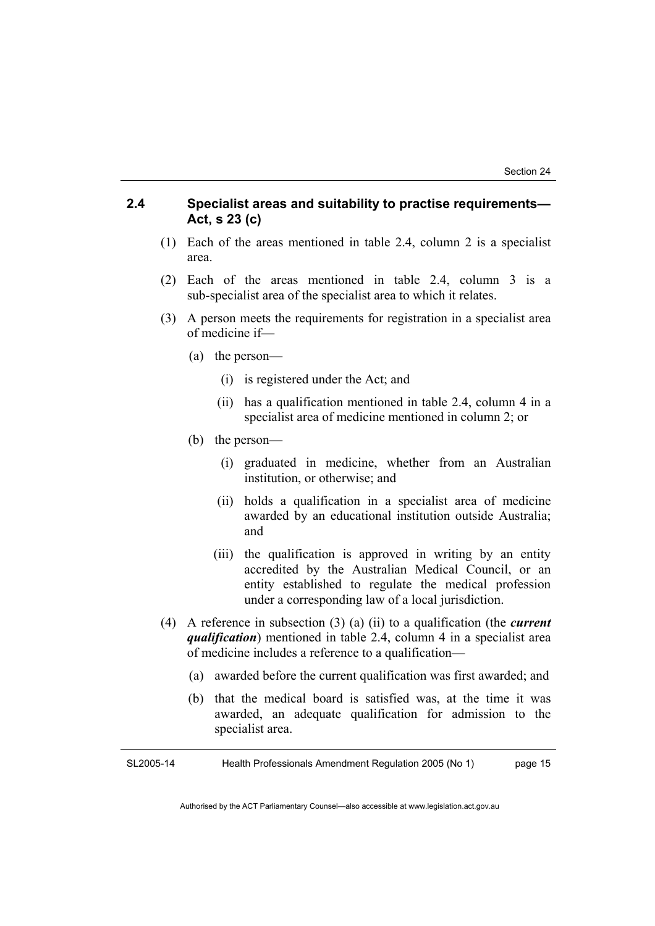## **2.4 Specialist areas and suitability to practise requirements— Act, s 23 (c)**

- (1) Each of the areas mentioned in table 2.4, column 2 is a specialist area.
- (2) Each of the areas mentioned in table 2.4, column 3 is a sub-specialist area of the specialist area to which it relates.
- (3) A person meets the requirements for registration in a specialist area of medicine if—
	- (a) the person—
		- (i) is registered under the Act; and
		- (ii) has a qualification mentioned in table 2.4, column 4 in a specialist area of medicine mentioned in column 2; or
	- (b) the person—
		- (i) graduated in medicine, whether from an Australian institution, or otherwise; and
		- (ii) holds a qualification in a specialist area of medicine awarded by an educational institution outside Australia; and
		- (iii) the qualification is approved in writing by an entity accredited by the Australian Medical Council, or an entity established to regulate the medical profession under a corresponding law of a local jurisdiction.
- (4) A reference in subsection (3) (a) (ii) to a qualification (the *current qualification*) mentioned in table 2.4, column 4 in a specialist area of medicine includes a reference to a qualification—
	- (a) awarded before the current qualification was first awarded; and
	- (b) that the medical board is satisfied was, at the time it was awarded, an adequate qualification for admission to the specialist area.

SL2005-14 Health Professionals Amendment Regulation 2005 (No 1) page 15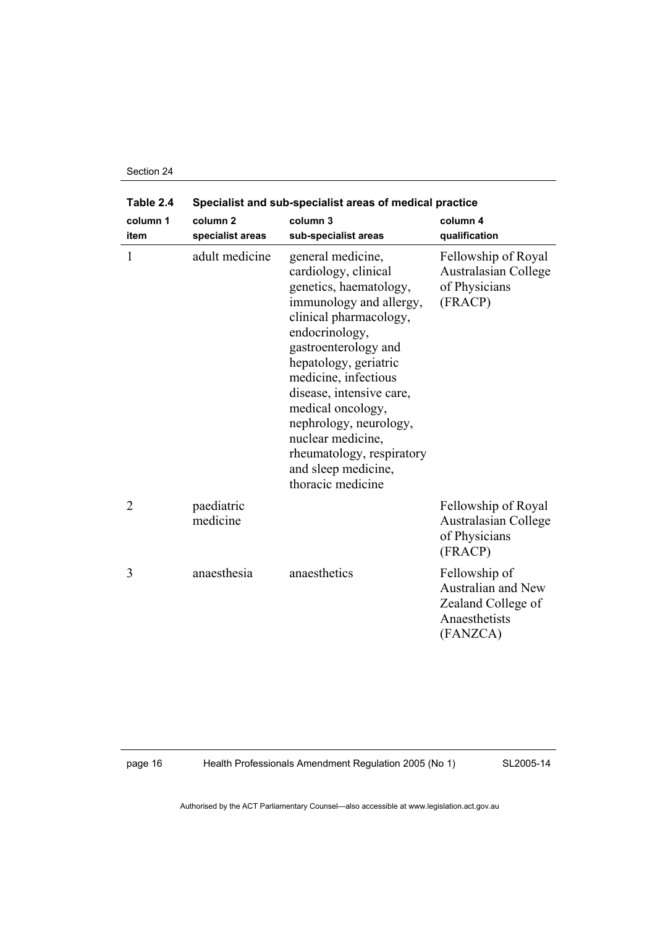| Section 24 |  |
|------------|--|
|------------|--|

| Table 2.4        | Specialist and sub-specialist areas of medical practice |                                                                                                                                                                                                                                                                                                                                                                                              |                                                                                               |
|------------------|---------------------------------------------------------|----------------------------------------------------------------------------------------------------------------------------------------------------------------------------------------------------------------------------------------------------------------------------------------------------------------------------------------------------------------------------------------------|-----------------------------------------------------------------------------------------------|
| column 1<br>item | column <sub>2</sub><br>specialist areas                 | column 3<br>sub-specialist areas                                                                                                                                                                                                                                                                                                                                                             | column 4<br>qualification                                                                     |
| 1                | adult medicine                                          | general medicine,<br>cardiology, clinical<br>genetics, haematology,<br>immunology and allergy,<br>clinical pharmacology,<br>endocrinology,<br>gastroenterology and<br>hepatology, geriatric<br>medicine, infectious<br>disease, intensive care,<br>medical oncology,<br>nephrology, neurology,<br>nuclear medicine,<br>rheumatology, respiratory<br>and sleep medicine,<br>thoracic medicine | Fellowship of Royal<br>Australasian College<br>of Physicians<br>(FRACP)                       |
| $\overline{2}$   | paediatric<br>medicine                                  |                                                                                                                                                                                                                                                                                                                                                                                              | Fellowship of Royal<br><b>Australasian College</b><br>of Physicians<br>(FRACP)                |
| 3                | anaesthesia                                             | anaesthetics                                                                                                                                                                                                                                                                                                                                                                                 | Fellowship of<br><b>Australian and New</b><br>Zealand College of<br>Anaesthetists<br>(FANZCA) |

page 16 Health Professionals Amendment Regulation 2005 (No 1)

SL2005-14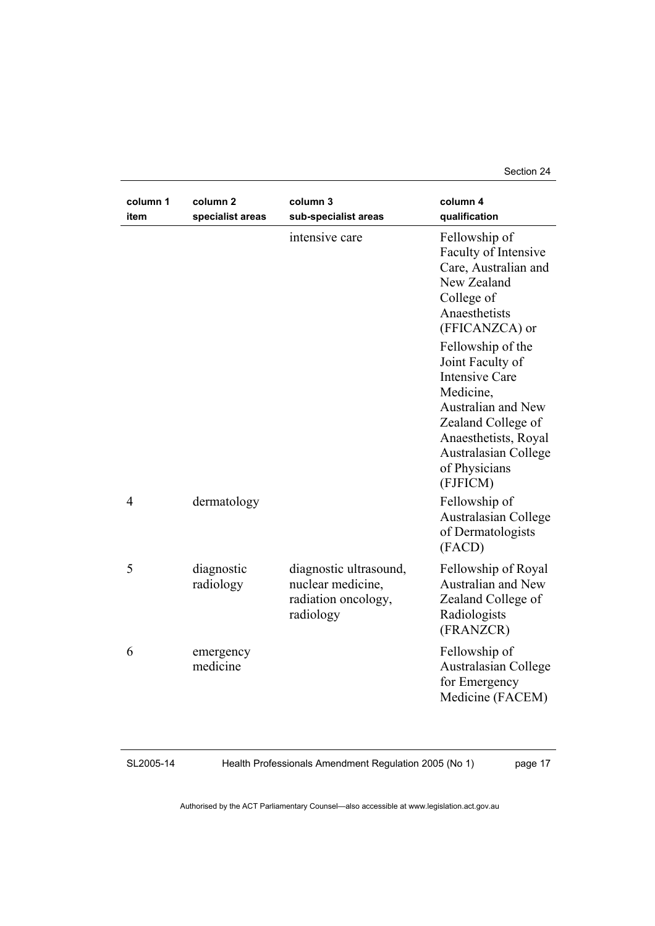Section 24

| column 1<br>item | column 2<br>specialist areas | column 3<br>sub-specialist areas                                                | column 4<br>qualification                                                                                                                                                                                   |
|------------------|------------------------------|---------------------------------------------------------------------------------|-------------------------------------------------------------------------------------------------------------------------------------------------------------------------------------------------------------|
|                  |                              | intensive care                                                                  | Fellowship of<br>Faculty of Intensive<br>Care, Australian and<br>New Zealand<br>College of<br>Anaesthetists<br>(FFICANZCA) or                                                                               |
|                  |                              |                                                                                 | Fellowship of the<br>Joint Faculty of<br><b>Intensive Care</b><br>Medicine,<br>Australian and New<br>Zealand College of<br>Anaesthetists, Royal<br><b>Australasian College</b><br>of Physicians<br>(FJFICM) |
| $\overline{4}$   | dermatology                  |                                                                                 | Fellowship of<br>Australasian College<br>of Dermatologists<br>(FACD)                                                                                                                                        |
| 5                | diagnostic<br>radiology      | diagnostic ultrasound,<br>nuclear medicine,<br>radiation oncology,<br>radiology | Fellowship of Royal<br><b>Australian and New</b><br>Zealand College of<br>Radiologists<br>(FRANZCR)                                                                                                         |
| 6                | emergency<br>medicine        |                                                                                 | Fellowship of<br><b>Australasian College</b><br>for Emergency<br>Medicine (FACEM)                                                                                                                           |

#### SL2005-14

Health Professionals Amendment Regulation 2005 (No 1)

page 17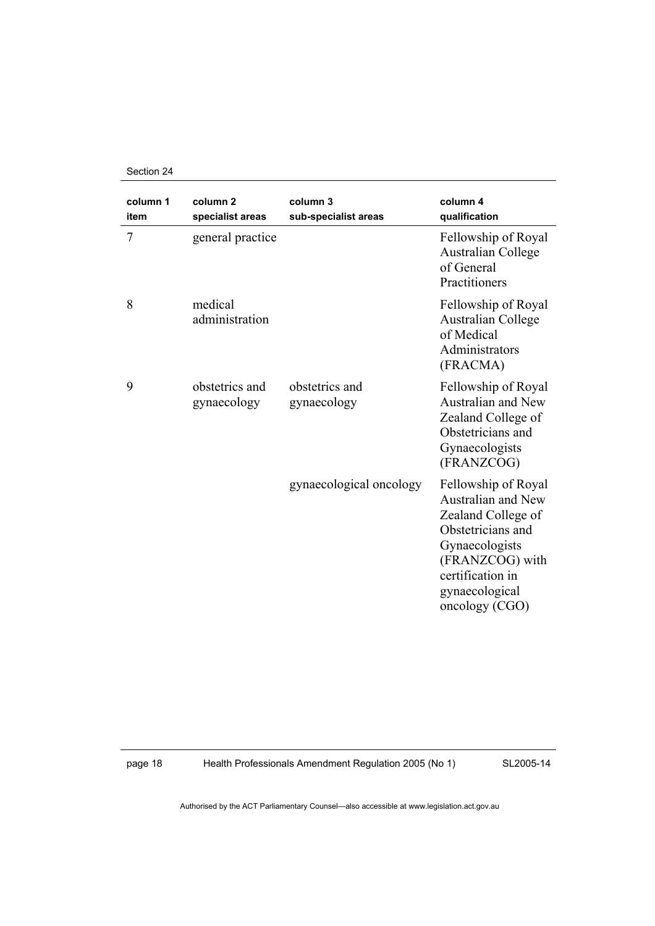Section 24

| column 1<br>item | column <sub>2</sub><br>specialist areas | column 3<br>sub-specialist areas | column 4<br>qualification                                                                                                                                                                |
|------------------|-----------------------------------------|----------------------------------|------------------------------------------------------------------------------------------------------------------------------------------------------------------------------------------|
| $\overline{7}$   | general practice                        |                                  | Fellowship of Royal<br><b>Australian College</b><br>of General<br>Practitioners                                                                                                          |
| 8                | medical<br>administration               |                                  | Fellowship of Royal<br><b>Australian College</b><br>of Medical<br>Administrators<br>(FRACMA)                                                                                             |
| 9                | obstetrics and<br>gynaecology           | obstetrics and<br>gynaecology    | Fellowship of Royal<br><b>Australian and New</b><br>Zealand College of<br>Obstetricians and<br>Gynaecologists<br>(FRANZCOG)                                                              |
|                  |                                         | gynaecological oncology          | Fellowship of Royal<br><b>Australian and New</b><br>Zealand College of<br>Obstetricians and<br>Gynaecologists<br>(FRANZCOG) with<br>certification in<br>gynaecological<br>oncology (CGO) |

page 18 Health Professionals Amendment Regulation 2005 (No 1)

SL2005-14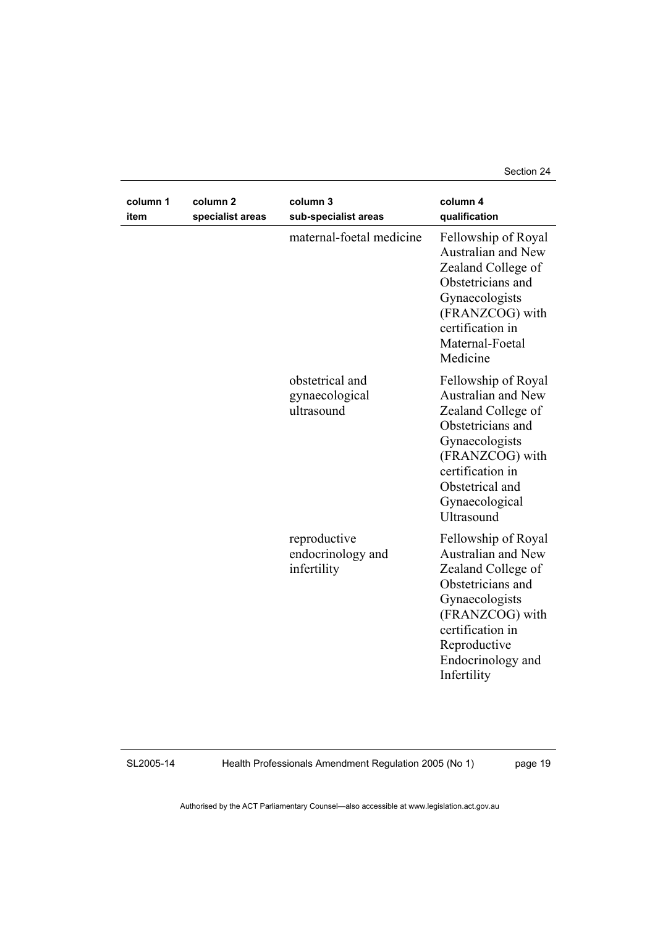Section 24

| column 1<br>item | column <sub>2</sub><br>specialist areas | column 3<br>sub-specialist areas                 | column 4<br>qualification                                                                                                                                                                                |
|------------------|-----------------------------------------|--------------------------------------------------|----------------------------------------------------------------------------------------------------------------------------------------------------------------------------------------------------------|
|                  |                                         | maternal-foetal medicine                         | Fellowship of Royal<br>Australian and New<br>Zealand College of<br>Obstetricians and<br>Gynaecologists<br>(FRANZCOG) with<br>certification in<br>Maternal-Foetal<br>Medicine                             |
|                  |                                         | obstetrical and<br>gynaecological<br>ultrasound  | Fellowship of Royal<br>Australian and New<br>Zealand College of<br>Obstetricians and<br>Gynaecologists<br>(FRANZCOG) with<br>certification in<br>Obstetrical and<br>Gynaecological<br>Ultrasound         |
|                  |                                         | reproductive<br>endocrinology and<br>infertility | Fellowship of Royal<br><b>Australian and New</b><br>Zealand College of<br>Obstetricians and<br>Gynaecologists<br>(FRANZCOG) with<br>certification in<br>Reproductive<br>Endocrinology and<br>Infertility |

SL2005-14

Health Professionals Amendment Regulation 2005 (No 1)

page 19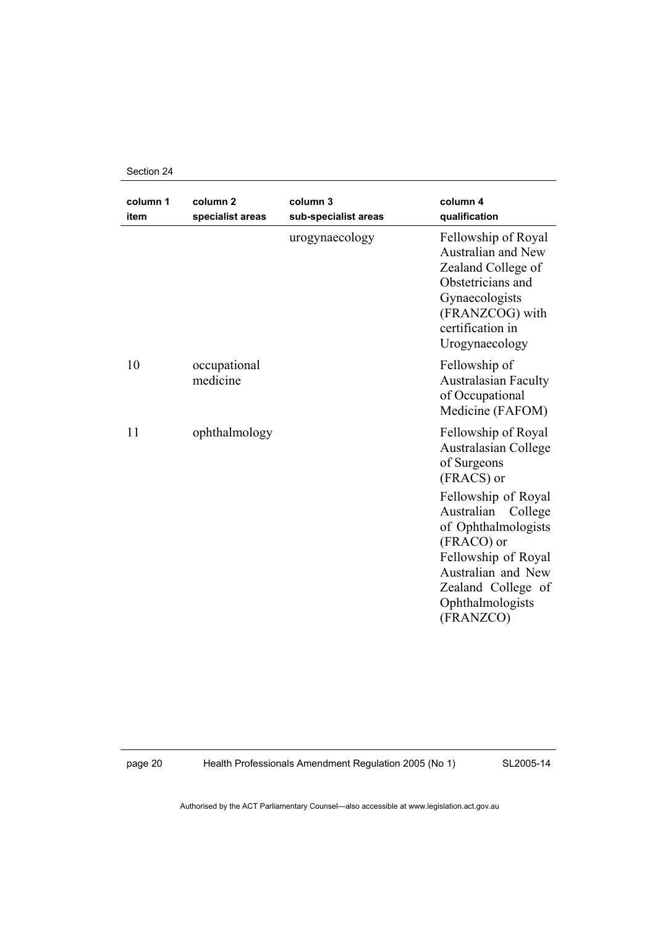Section 24

| column 1<br>item | column <sub>2</sub><br>specialist areas | column 3<br>sub-specialist areas | column 4<br>qualification                                                                                                                                                                                                                                                |
|------------------|-----------------------------------------|----------------------------------|--------------------------------------------------------------------------------------------------------------------------------------------------------------------------------------------------------------------------------------------------------------------------|
|                  |                                         | urogynaecology                   | Fellowship of Royal<br>Australian and New<br>Zealand College of<br>Obstetricians and<br>Gynaecologists<br>(FRANZCOG) with<br>certification in<br>Urogynaecology                                                                                                          |
| 10               | occupational<br>medicine                |                                  | Fellowship of<br><b>Australasian Faculty</b><br>of Occupational<br>Medicine (FAFOM)                                                                                                                                                                                      |
| 11               | ophthalmology                           |                                  | Fellowship of Royal<br><b>Australasian College</b><br>of Surgeons<br>(FRACS) or<br>Fellowship of Royal<br>Australian<br>College<br>of Ophthalmologists<br>(FRACO) or<br>Fellowship of Royal<br>Australian and New<br>Zealand College of<br>Ophthalmologists<br>(FRANZCO) |

page 20 Health Professionals Amendment Regulation 2005 (No 1)

SL2005-14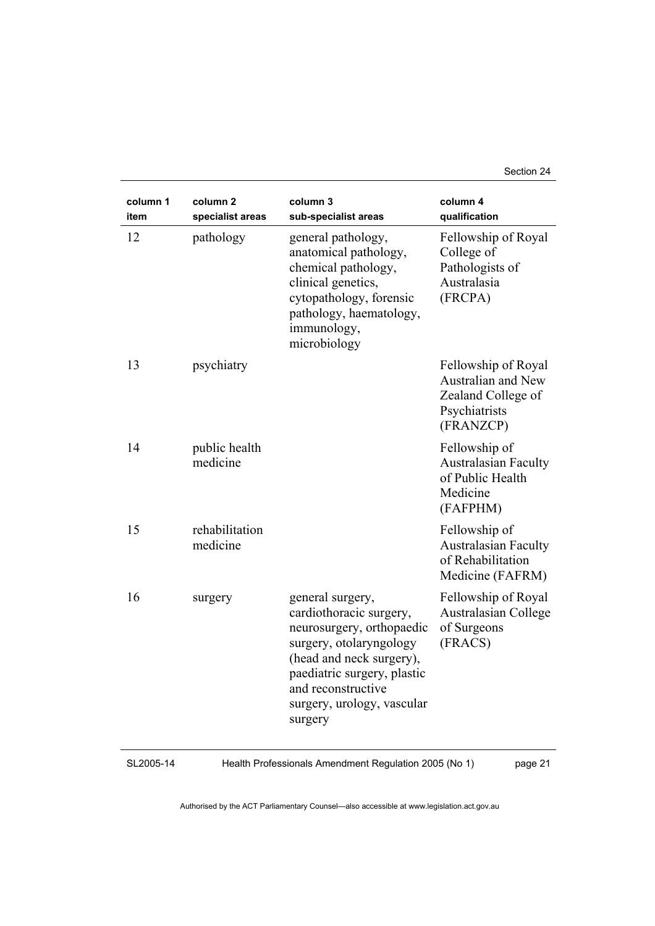Section 24

| column 1<br>item | column <sub>2</sub><br>specialist areas | column 3<br>sub-specialist areas                                                                                                                                                                                              | column 4<br>qualification                                                                            |
|------------------|-----------------------------------------|-------------------------------------------------------------------------------------------------------------------------------------------------------------------------------------------------------------------------------|------------------------------------------------------------------------------------------------------|
| 12               | pathology                               | general pathology,<br>anatomical pathology,<br>chemical pathology,<br>clinical genetics,<br>cytopathology, forensic<br>pathology, haematology,<br>immunology,<br>microbiology                                                 | Fellowship of Royal<br>College of<br>Pathologists of<br>Australasia<br>(FRCPA)                       |
| 13               | psychiatry                              |                                                                                                                                                                                                                               | Fellowship of Royal<br><b>Australian and New</b><br>Zealand College of<br>Psychiatrists<br>(FRANZCP) |
| 14               | public health<br>medicine               |                                                                                                                                                                                                                               | Fellowship of<br><b>Australasian Faculty</b><br>of Public Health<br>Medicine<br>(FAFPHM)             |
| 15               | rehabilitation<br>medicine              |                                                                                                                                                                                                                               | Fellowship of<br><b>Australasian Faculty</b><br>of Rehabilitation<br>Medicine (FAFRM)                |
| 16               | surgery                                 | general surgery,<br>cardiothoracic surgery,<br>neurosurgery, orthopaedic<br>surgery, otolaryngology<br>(head and neck surgery),<br>paediatric surgery, plastic<br>and reconstructive<br>surgery, urology, vascular<br>surgery | Fellowship of Royal<br><b>Australasian College</b><br>of Surgeons<br>(FRACS)                         |

#### SL2005-14

Health Professionals Amendment Regulation 2005 (No 1)

page 21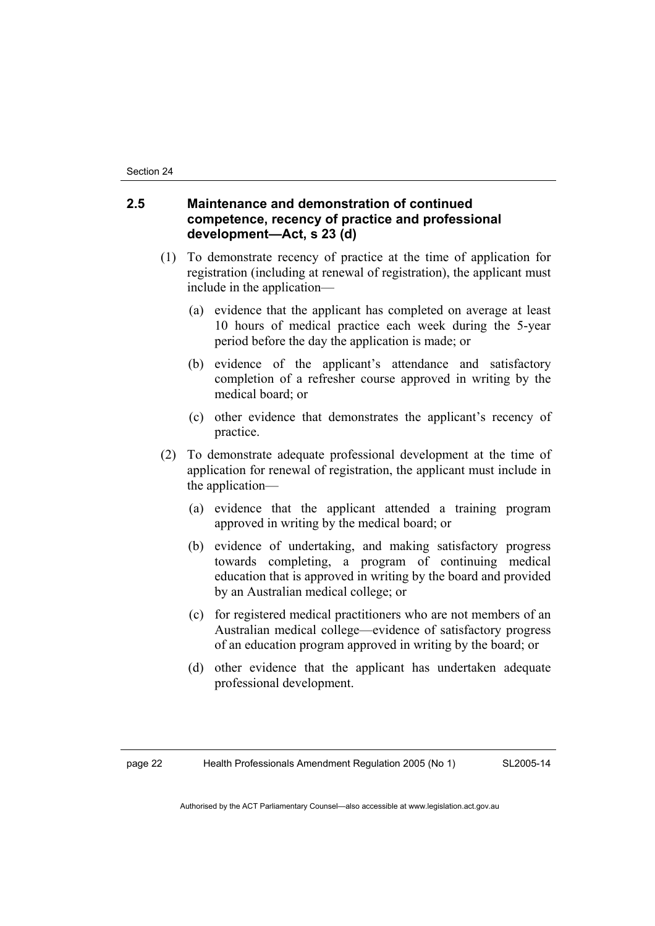## **2.5 Maintenance and demonstration of continued competence, recency of practice and professional development—Act, s 23 (d)**

- (1) To demonstrate recency of practice at the time of application for registration (including at renewal of registration), the applicant must include in the application—
	- (a) evidence that the applicant has completed on average at least 10 hours of medical practice each week during the 5-year period before the day the application is made; or
	- (b) evidence of the applicant's attendance and satisfactory completion of a refresher course approved in writing by the medical board; or
	- (c) other evidence that demonstrates the applicant's recency of practice.
- (2) To demonstrate adequate professional development at the time of application for renewal of registration, the applicant must include in the application—
	- (a) evidence that the applicant attended a training program approved in writing by the medical board; or
	- (b) evidence of undertaking, and making satisfactory progress towards completing, a program of continuing medical education that is approved in writing by the board and provided by an Australian medical college; or
	- (c) for registered medical practitioners who are not members of an Australian medical college—evidence of satisfactory progress of an education program approved in writing by the board; or
	- (d) other evidence that the applicant has undertaken adequate professional development.

page 22 Health Professionals Amendment Regulation 2005 (No 1)

SL2005-14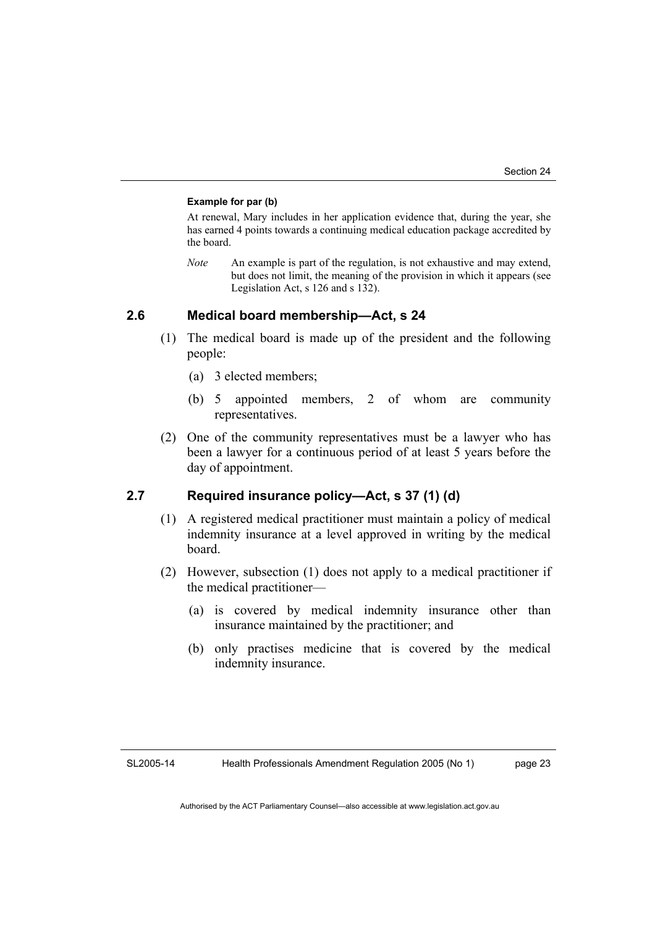#### **Example for par (b)**

At renewal, Mary includes in her application evidence that, during the year, she has earned 4 points towards a continuing medical education package accredited by the board.

*Note* An example is part of the regulation, is not exhaustive and may extend, but does not limit, the meaning of the provision in which it appears (see Legislation Act, s 126 and s 132).

### **2.6 Medical board membership—Act, s 24**

- (1) The medical board is made up of the president and the following people:
	- (a) 3 elected members;
	- (b) 5 appointed members, 2 of whom are community representatives.
- (2) One of the community representatives must be a lawyer who has been a lawyer for a continuous period of at least 5 years before the day of appointment.

## **2.7 Required insurance policy—Act, s 37 (1) (d)**

- (1) A registered medical practitioner must maintain a policy of medical indemnity insurance at a level approved in writing by the medical board.
- (2) However, subsection (1) does not apply to a medical practitioner if the medical practitioner—
	- (a) is covered by medical indemnity insurance other than insurance maintained by the practitioner; and
	- (b) only practises medicine that is covered by the medical indemnity insurance.

SL2005-14

Health Professionals Amendment Regulation 2005 (No 1)

page 23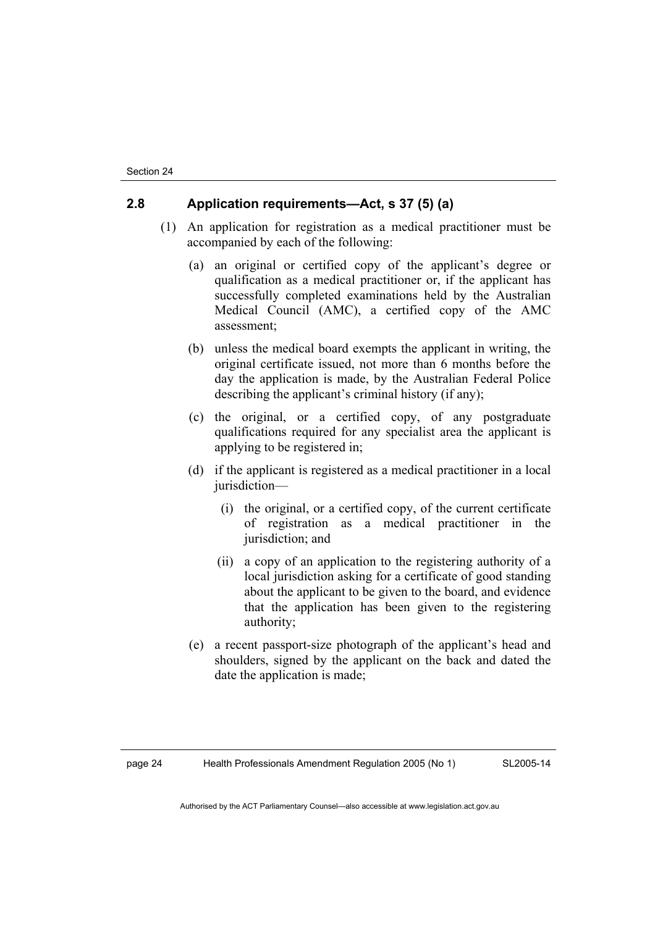## **2.8 Application requirements—Act, s 37 (5) (a)**

- (1) An application for registration as a medical practitioner must be accompanied by each of the following:
	- (a) an original or certified copy of the applicant's degree or qualification as a medical practitioner or, if the applicant has successfully completed examinations held by the Australian Medical Council (AMC), a certified copy of the AMC assessment;
	- (b) unless the medical board exempts the applicant in writing, the original certificate issued, not more than 6 months before the day the application is made, by the Australian Federal Police describing the applicant's criminal history (if any);
	- (c) the original, or a certified copy, of any postgraduate qualifications required for any specialist area the applicant is applying to be registered in;
	- (d) if the applicant is registered as a medical practitioner in a local jurisdiction—
		- (i) the original, or a certified copy, of the current certificate of registration as a medical practitioner in the jurisdiction; and
		- (ii) a copy of an application to the registering authority of a local jurisdiction asking for a certificate of good standing about the applicant to be given to the board, and evidence that the application has been given to the registering authority;
	- (e) a recent passport-size photograph of the applicant's head and shoulders, signed by the applicant on the back and dated the date the application is made;

SL2005-14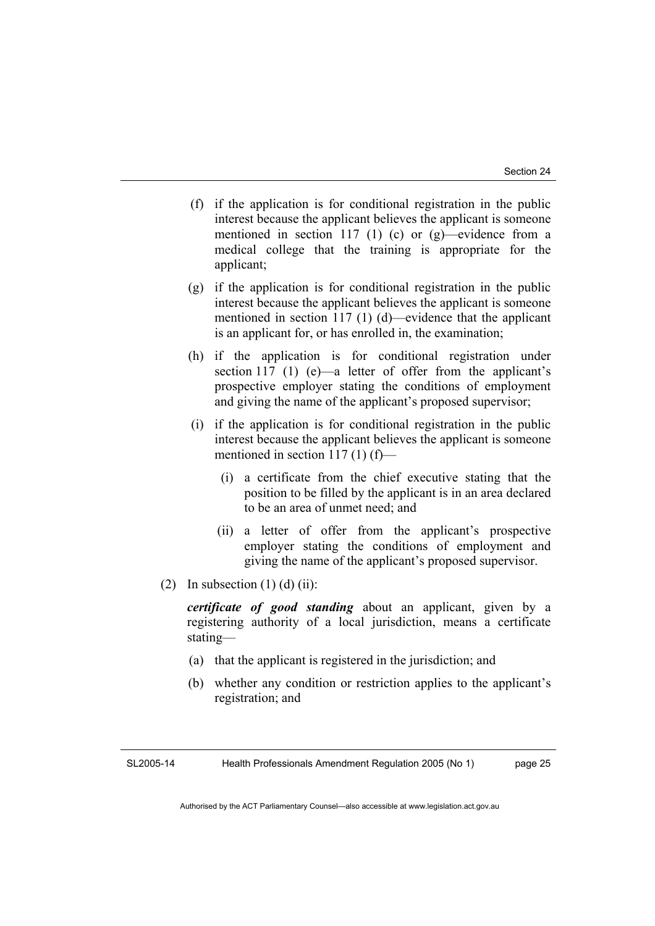- (f) if the application is for conditional registration in the public interest because the applicant believes the applicant is someone mentioned in section 117 (1) (c) or  $(g)$ —evidence from a medical college that the training is appropriate for the applicant;
- (g) if the application is for conditional registration in the public interest because the applicant believes the applicant is someone mentioned in section 117 (1) (d)—evidence that the applicant is an applicant for, or has enrolled in, the examination;
- (h) if the application is for conditional registration under section 117 (1) (e)—a letter of offer from the applicant's prospective employer stating the conditions of employment and giving the name of the applicant's proposed supervisor;
- (i) if the application is for conditional registration in the public interest because the applicant believes the applicant is someone mentioned in section 117 (1) (f)—
	- (i) a certificate from the chief executive stating that the position to be filled by the applicant is in an area declared to be an area of unmet need; and
	- (ii) a letter of offer from the applicant's prospective employer stating the conditions of employment and giving the name of the applicant's proposed supervisor.
- (2) In subsection  $(1)$  (d)  $(ii)$ :

*certificate of good standing* about an applicant, given by a registering authority of a local jurisdiction, means a certificate stating—

- (a) that the applicant is registered in the jurisdiction; and
- (b) whether any condition or restriction applies to the applicant's registration; and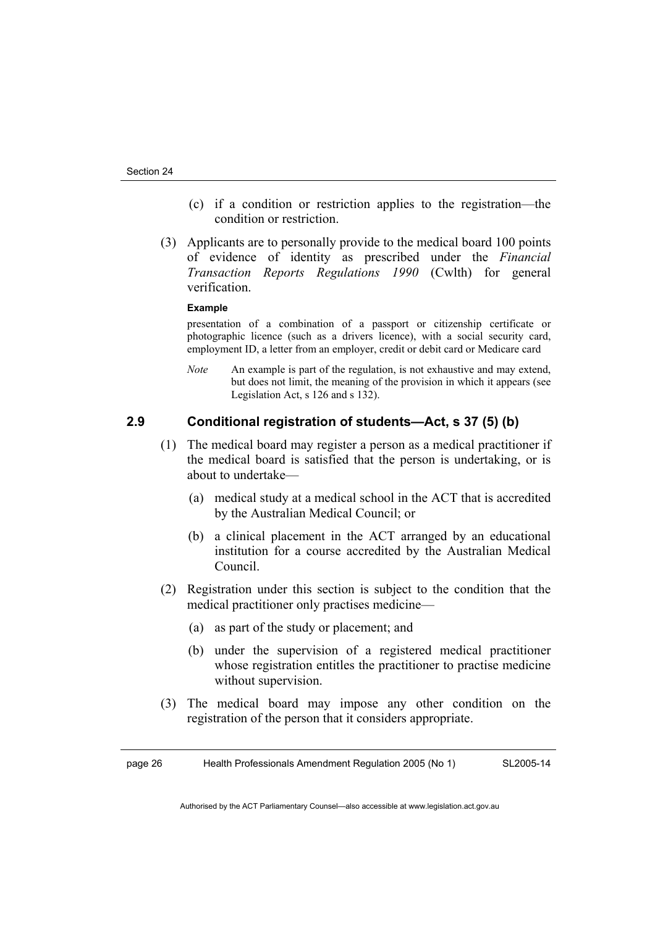- (c) if a condition or restriction applies to the registration—the condition or restriction.
- (3) Applicants are to personally provide to the medical board 100 points of evidence of identity as prescribed under the *Financial Transaction Reports Regulations 1990* (Cwlth) for general verification.

#### **Example**

presentation of a combination of a passport or citizenship certificate or photographic licence (such as a drivers licence), with a social security card, employment ID, a letter from an employer, credit or debit card or Medicare card

*Note* An example is part of the regulation, is not exhaustive and may extend, but does not limit, the meaning of the provision in which it appears (see Legislation Act, s 126 and s 132).

## **2.9 Conditional registration of students—Act, s 37 (5) (b)**

- (1) The medical board may register a person as a medical practitioner if the medical board is satisfied that the person is undertaking, or is about to undertake—
	- (a) medical study at a medical school in the ACT that is accredited by the Australian Medical Council; or
	- (b) a clinical placement in the ACT arranged by an educational institution for a course accredited by the Australian Medical Council.
- (2) Registration under this section is subject to the condition that the medical practitioner only practises medicine—
	- (a) as part of the study or placement; and
	- (b) under the supervision of a registered medical practitioner whose registration entitles the practitioner to practise medicine without supervision.
- (3) The medical board may impose any other condition on the registration of the person that it considers appropriate.

page 26 Health Professionals Amendment Regulation 2005 (No 1) SL2005-14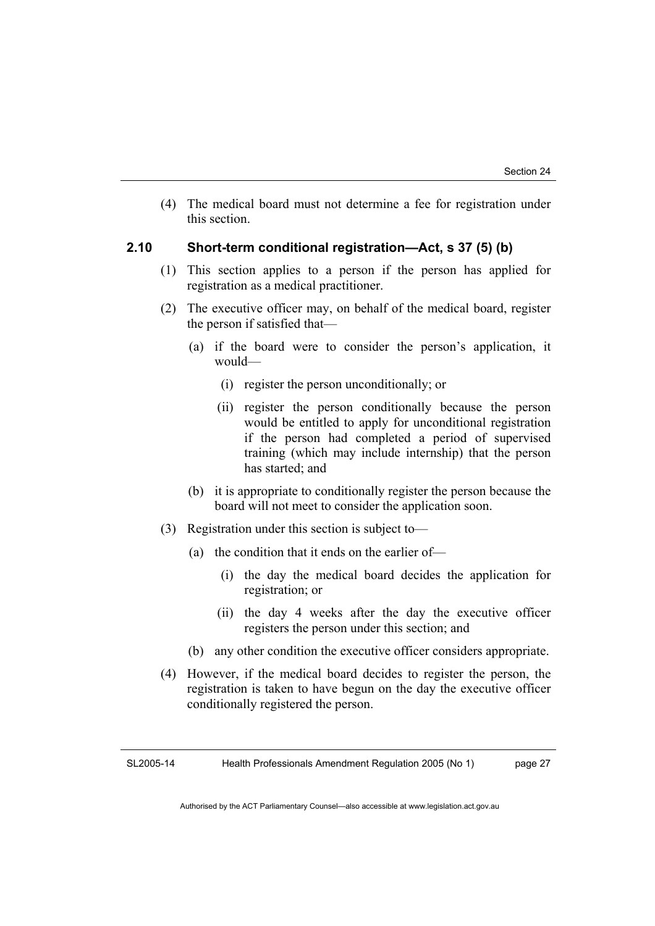(4) The medical board must not determine a fee for registration under this section.

## **2.10 Short-term conditional registration—Act, s 37 (5) (b)**

- (1) This section applies to a person if the person has applied for registration as a medical practitioner.
- (2) The executive officer may, on behalf of the medical board, register the person if satisfied that—
	- (a) if the board were to consider the person's application, it would—
		- (i) register the person unconditionally; or
		- (ii) register the person conditionally because the person would be entitled to apply for unconditional registration if the person had completed a period of supervised training (which may include internship) that the person has started; and
	- (b) it is appropriate to conditionally register the person because the board will not meet to consider the application soon.
- (3) Registration under this section is subject to—
	- (a) the condition that it ends on the earlier of—
		- (i) the day the medical board decides the application for registration; or
		- (ii) the day 4 weeks after the day the executive officer registers the person under this section; and
	- (b) any other condition the executive officer considers appropriate.
- (4) However, if the medical board decides to register the person, the registration is taken to have begun on the day the executive officer conditionally registered the person.

SL2005-14 Health Professionals Amendment Regulation 2005 (No 1) page 27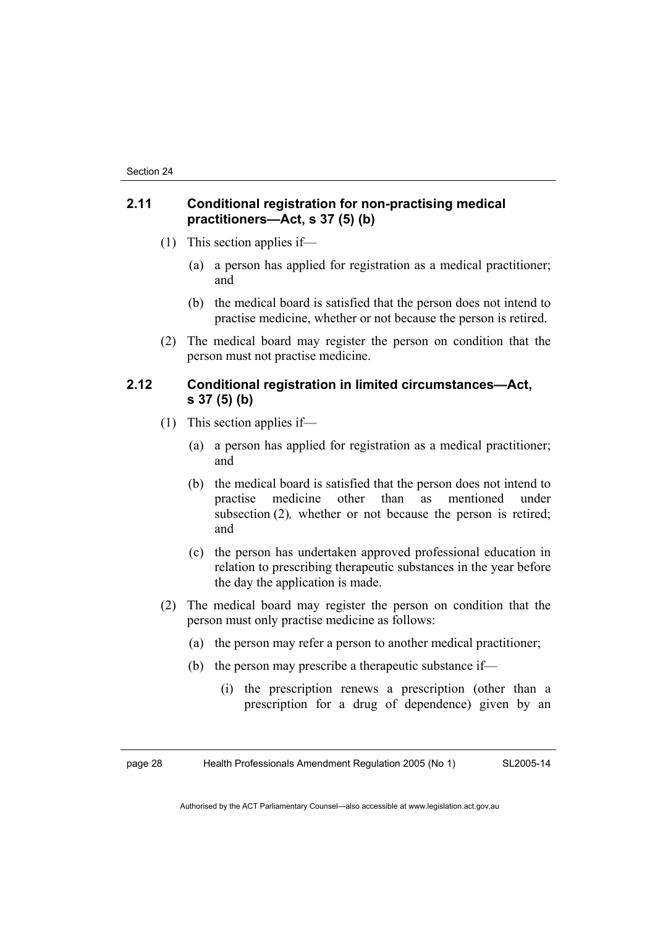## **2.11 Conditional registration for non-practising medical practitioners—Act, s 37 (5) (b)**

- (1) This section applies if—
	- (a) a person has applied for registration as a medical practitioner; and
	- (b) the medical board is satisfied that the person does not intend to practise medicine, whether or not because the person is retired.
- (2) The medical board may register the person on condition that the person must not practise medicine.

## **2.12 Conditional registration in limited circumstances—Act, s 37 (5) (b)**

- (1) This section applies if—
	- (a) a person has applied for registration as a medical practitioner; and
	- (b) the medical board is satisfied that the person does not intend to practise medicine other than as mentioned under subsection (2), whether or not because the person is retired; and
	- (c) the person has undertaken approved professional education in relation to prescribing therapeutic substances in the year before the day the application is made.
- (2) The medical board may register the person on condition that the person must only practise medicine as follows:
	- (a) the person may refer a person to another medical practitioner;
	- (b) the person may prescribe a therapeutic substance if—
		- (i) the prescription renews a prescription (other than a prescription for a drug of dependence) given by an

page 28 Health Professionals Amendment Regulation 2005 (No 1) SL2005-14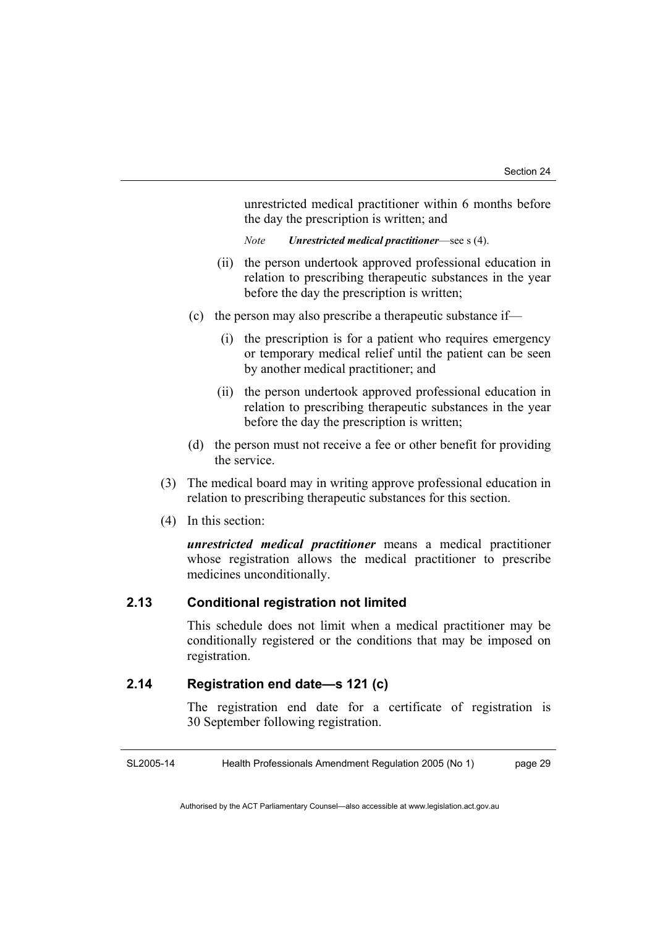unrestricted medical practitioner within 6 months before the day the prescription is written; and

*Note Unrestricted medical practitioner*—see s (4).

- (ii) the person undertook approved professional education in relation to prescribing therapeutic substances in the year before the day the prescription is written;
- (c) the person may also prescribe a therapeutic substance if—
	- (i) the prescription is for a patient who requires emergency or temporary medical relief until the patient can be seen by another medical practitioner; and
	- (ii) the person undertook approved professional education in relation to prescribing therapeutic substances in the year before the day the prescription is written;
- (d) the person must not receive a fee or other benefit for providing the service.
- (3) The medical board may in writing approve professional education in relation to prescribing therapeutic substances for this section.
- (4) In this section:

*unrestricted medical practitioner* means a medical practitioner whose registration allows the medical practitioner to prescribe medicines unconditionally.

## **2.13 Conditional registration not limited**

This schedule does not limit when a medical practitioner may be conditionally registered or the conditions that may be imposed on registration.

## **2.14 Registration end date—s 121 (c)**

The registration end date for a certificate of registration is 30 September following registration.

SL2005-14 Health Professionals Amendment Regulation 2005 (No 1) page 29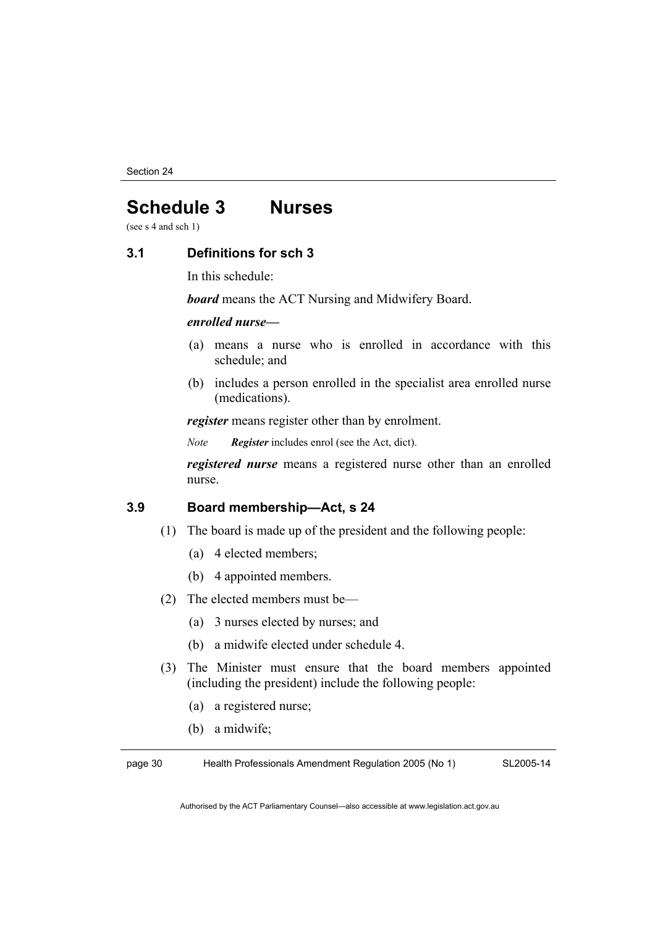Section 24

## **Schedule 3 Nurses**

(see s 4 and sch 1)

### **3.1 Definitions for sch 3**

In this schedule:

*board* means the ACT Nursing and Midwifery Board.

## *enrolled nurse—*

- (a) means a nurse who is enrolled in accordance with this schedule; and
- (b) includes a person enrolled in the specialist area enrolled nurse (medications).

*register* means register other than by enrolment.

*Note Register* includes enrol (see the Act, dict).

*registered nurse* means a registered nurse other than an enrolled nurse.

## **3.9 Board membership—Act, s 24**

- (1) The board is made up of the president and the following people:
	- (a) 4 elected members;
	- (b) 4 appointed members.
- (2) The elected members must be—
	- (a) 3 nurses elected by nurses; and
	- (b) a midwife elected under schedule 4.
- (3) The Minister must ensure that the board members appointed (including the president) include the following people:
	- (a) a registered nurse;
	- (b) a midwife;

page 30 Health Professionals Amendment Regulation 2005 (No 1) SL2005-14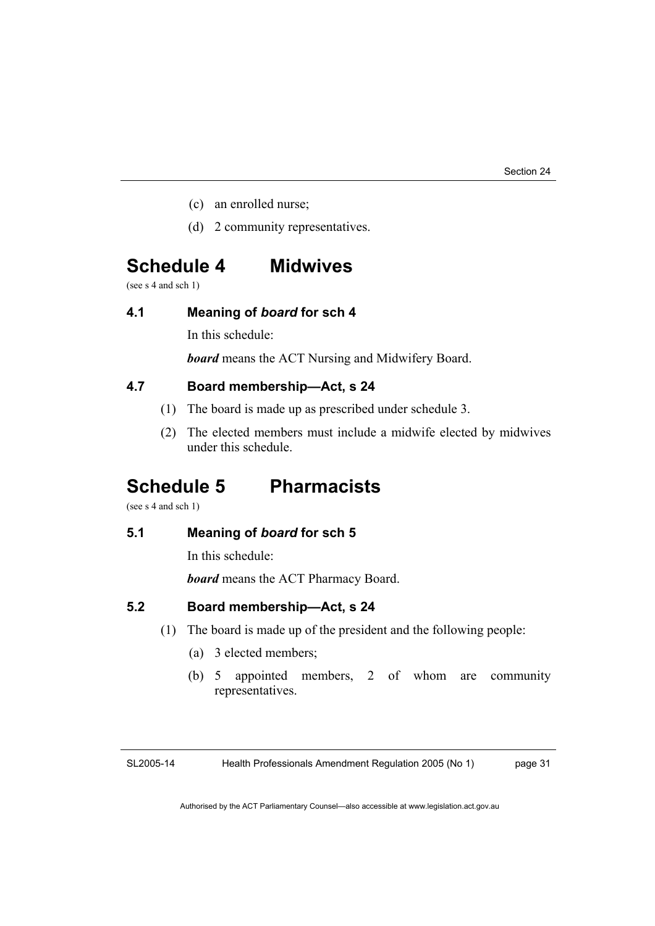- (c) an enrolled nurse;
- (d) 2 community representatives.

## **Schedule 4 Midwives**

(see s 4 and sch 1)

## **4.1 Meaning of** *board* **for sch 4**

In this schedule:

*board* means the ACT Nursing and Midwifery Board.

## **4.7 Board membership—Act, s 24**

- (1) The board is made up as prescribed under schedule 3.
- (2) The elected members must include a midwife elected by midwives under this schedule.

## **Schedule 5 Pharmacists**

(see s 4 and sch 1)

## **5.1 Meaning of** *board* **for sch 5**

In this schedule:

*board* means the ACT Pharmacy Board.

## **5.2 Board membership—Act, s 24**

- (1) The board is made up of the president and the following people:
	- (a) 3 elected members;
	- (b) 5 appointed members, 2 of whom are community representatives.

SL2005-14 Health Professionals Amendment Regulation 2005 (No 1) page 31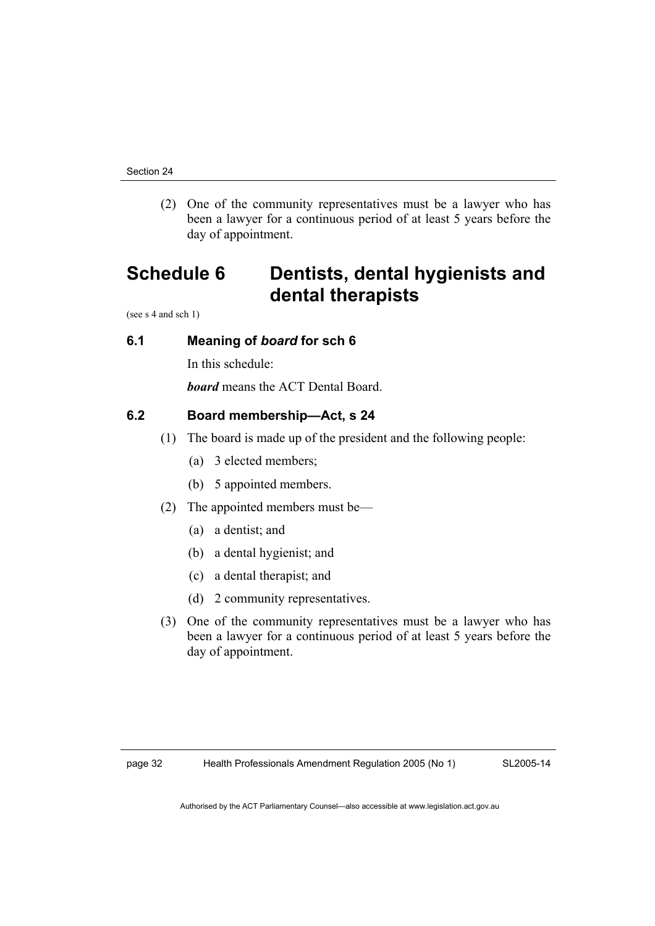(2) One of the community representatives must be a lawyer who has been a lawyer for a continuous period of at least 5 years before the day of appointment.

## **Schedule 6 Dentists, dental hygienists and dental therapists**

(see s 4 and sch 1)

## **6.1 Meaning of** *board* **for sch 6**

In this schedule:

*board* means the ACT Dental Board.

## **6.2 Board membership—Act, s 24**

- (1) The board is made up of the president and the following people:
	- (a) 3 elected members;
	- (b) 5 appointed members.
- (2) The appointed members must be—
	- (a) a dentist; and
	- (b) a dental hygienist; and
	- (c) a dental therapist; and
	- (d) 2 community representatives.
- (3) One of the community representatives must be a lawyer who has been a lawyer for a continuous period of at least 5 years before the day of appointment.

SL2005-14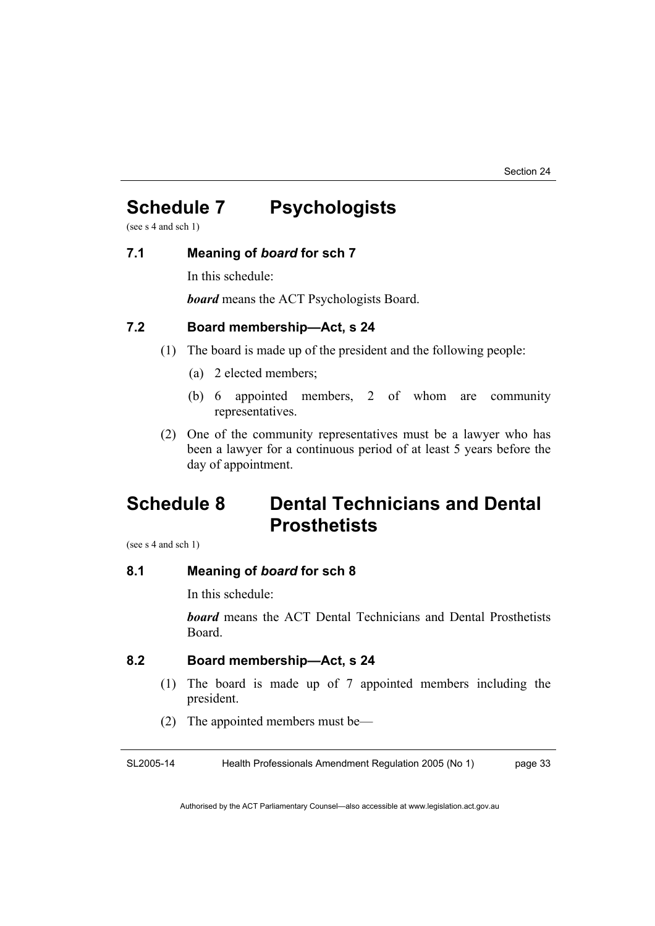## **Schedule 7 Psychologists**

(see s 4 and sch 1)

## **7.1 Meaning of** *board* **for sch 7**

In this schedule:

*board* means the ACT Psychologists Board.

## **7.2 Board membership—Act, s 24**

- (1) The board is made up of the president and the following people:
	- (a) 2 elected members;
	- (b) 6 appointed members, 2 of whom are community representatives.
- (2) One of the community representatives must be a lawyer who has been a lawyer for a continuous period of at least 5 years before the day of appointment.

## **Schedule 8 Dental Technicians and Dental Prosthetists**

(see s 4 and sch 1)

## **8.1 Meaning of** *board* **for sch 8**

In this schedule:

*board* means the ACT Dental Technicians and Dental Prosthetists Board.

## **8.2 Board membership—Act, s 24**

- (1) The board is made up of 7 appointed members including the president.
- (2) The appointed members must be—

SL2005-14 Health Professionals Amendment Regulation 2005 (No 1) page 33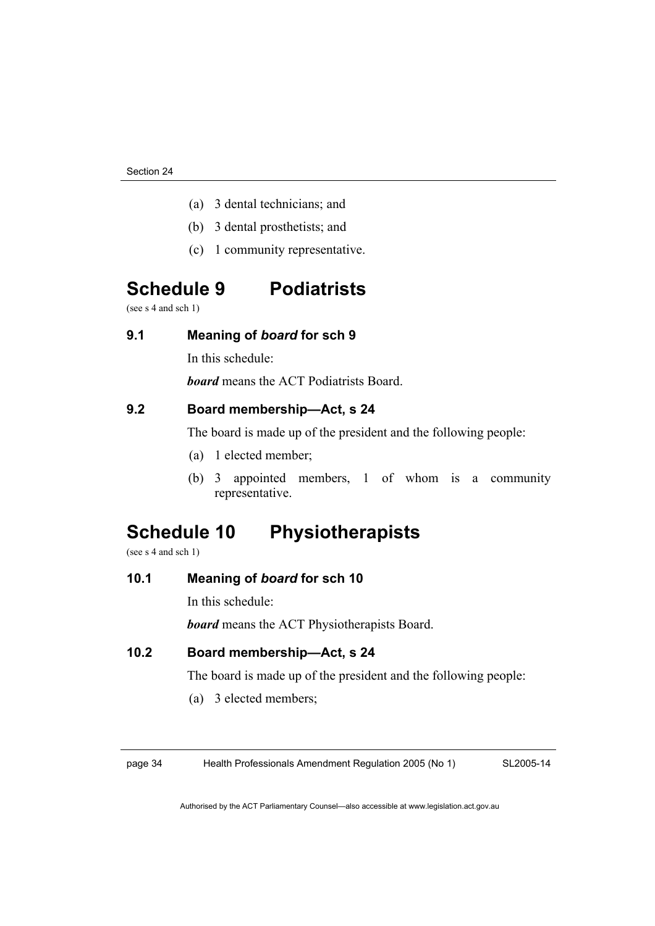- (a) 3 dental technicians; and
- (b) 3 dental prosthetists; and
- (c) 1 community representative.

## **Schedule 9 Podiatrists**

(see s 4 and sch 1)

## **9.1 Meaning of** *board* **for sch 9**

In this schedule:

*board* means the ACT Podiatrists Board.

## **9.2 Board membership—Act, s 24**

The board is made up of the president and the following people:

- (a) 1 elected member;
- (b) 3 appointed members, 1 of whom is a community representative.

## **Schedule 10 Physiotherapists**

(see s 4 and sch 1)

## **10.1 Meaning of** *board* **for sch 10**

In this schedule:

*board* means the ACT Physiotherapists Board.

## **10.2 Board membership—Act, s 24**

The board is made up of the president and the following people:

(a) 3 elected members;

page 34 Health Professionals Amendment Regulation 2005 (No 1)

SL2005-14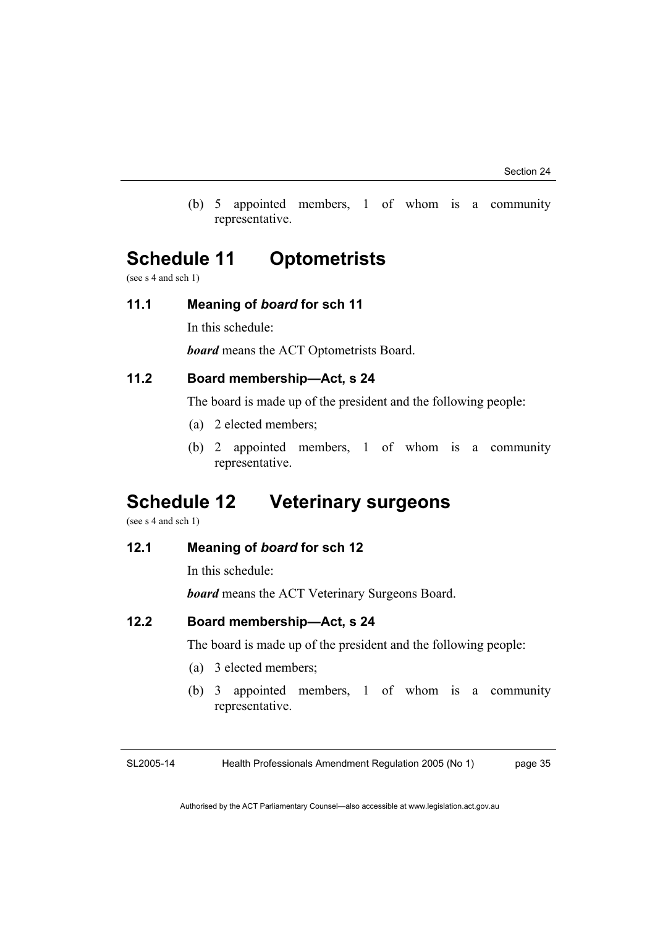(b) 5 appointed members, 1 of whom is a community representative.

## **Schedule 11 Optometrists**

(see s 4 and sch 1)

## **11.1 Meaning of** *board* **for sch 11**

In this schedule:

*board* means the ACT Optometrists Board.

## **11.2 Board membership—Act, s 24**

The board is made up of the president and the following people:

- (a) 2 elected members;
- (b) 2 appointed members, 1 of whom is a community representative.

## **Schedule 12 Veterinary surgeons**

(see s 4 and sch 1)

## **12.1 Meaning of** *board* **for sch 12**

In this schedule:

*board* means the ACT Veterinary Surgeons Board.

## **12.2 Board membership—Act, s 24**

The board is made up of the president and the following people:

- (a) 3 elected members;
- (b) 3 appointed members, 1 of whom is a community representative.

SL2005-14

Health Professionals Amendment Regulation 2005 (No 1) page 35